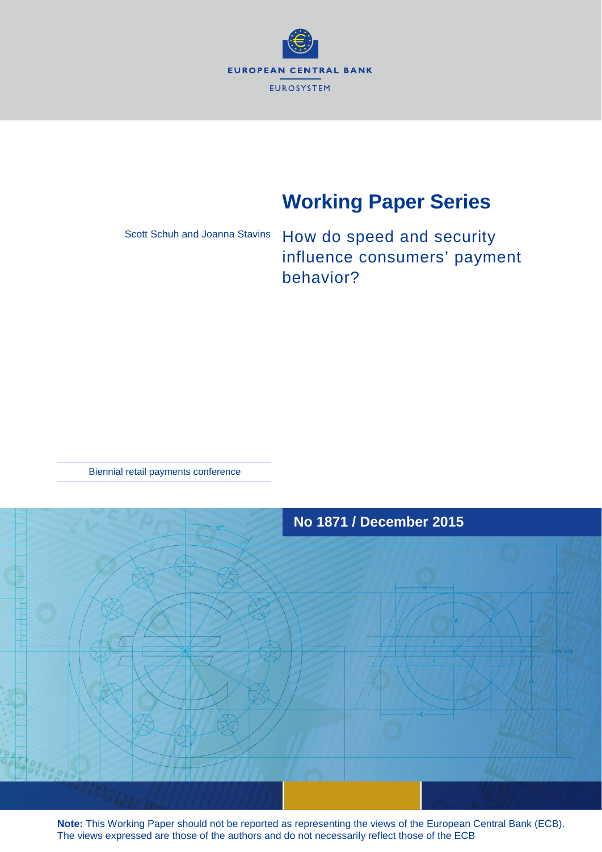

# **Working Paper Series**

Scott Schuh and Joanna Stavins

How do speed and security influence consumers' payment behavior?



**Note:** This Working Paper should not be reported as representing the views of the European Central Bank (ECB). The views expressed are those of the authors and do not necessarily reflect those of the ECB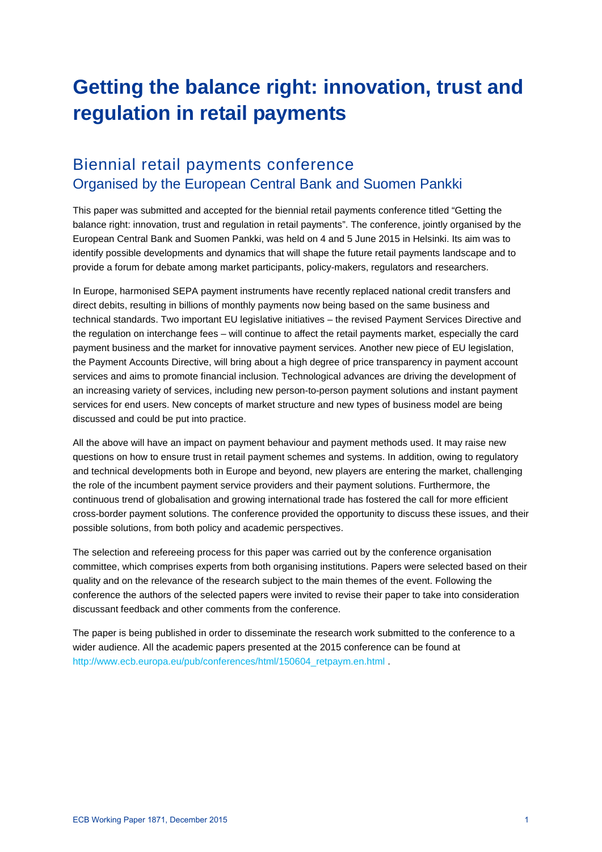# **Getting the balance right: innovation, trust and regulation in retail payments**

# Biennial retail payments conference Organised by the European Central Bank and Suomen Pankki

This paper was submitted and accepted for the biennial retail payments conference titled "Getting the balance right: innovation, trust and regulation in retail payments". The conference, jointly organised by the European Central Bank and Suomen Pankki, was held on 4 and 5 June 2015 in Helsinki. Its aim was to identify possible developments and dynamics that will shape the future retail payments landscape and to provide a forum for debate among market participants, policy-makers, regulators and researchers.

In Europe, harmonised SEPA payment instruments have recently replaced national credit transfers and direct debits, resulting in billions of monthly payments now being based on the same business and technical standards. Two important EU legislative initiatives – the revised Payment Services Directive and the regulation on interchange fees – will continue to affect the retail payments market, especially the card payment business and the market for innovative payment services. Another new piece of EU legislation, the Payment Accounts Directive, will bring about a high degree of price transparency in payment account services and aims to promote financial inclusion. Technological advances are driving the development of an increasing variety of services, including new person-to-person payment solutions and instant payment services for end users. New concepts of market structure and new types of business model are being discussed and could be put into practice.

All the above will have an impact on payment behaviour and payment methods used. It may raise new questions on how to ensure trust in retail payment schemes and systems. In addition, owing to regulatory and technical developments both in Europe and beyond, new players are entering the market, challenging the role of the incumbent payment service providers and their payment solutions. Furthermore, the continuous trend of globalisation and growing international trade has fostered the call for more efficient cross-border payment solutions. The conference provided the opportunity to discuss these issues, and their possible solutions, from both policy and academic perspectives.

The selection and refereeing process for this paper was carried out by the conference organisation committee, which comprises experts from both organising institutions. Papers were selected based on their quality and on the relevance of the research subject to the main themes of the event. Following the conference the authors of the selected papers were invited to revise their paper to take into consideration discussant feedback and other comments from the conference.

The paper is being published in order to disseminate the research work submitted to the conference to a wider audience. All the academic papers presented at the 2015 conference can be found at [http://www.ecb.europa.eu/pub/conferences/html/150604\\_retpaym.en.html](http://www.ecb.europa.eu/pub/conferences/html/150604_retpaym.en.html) .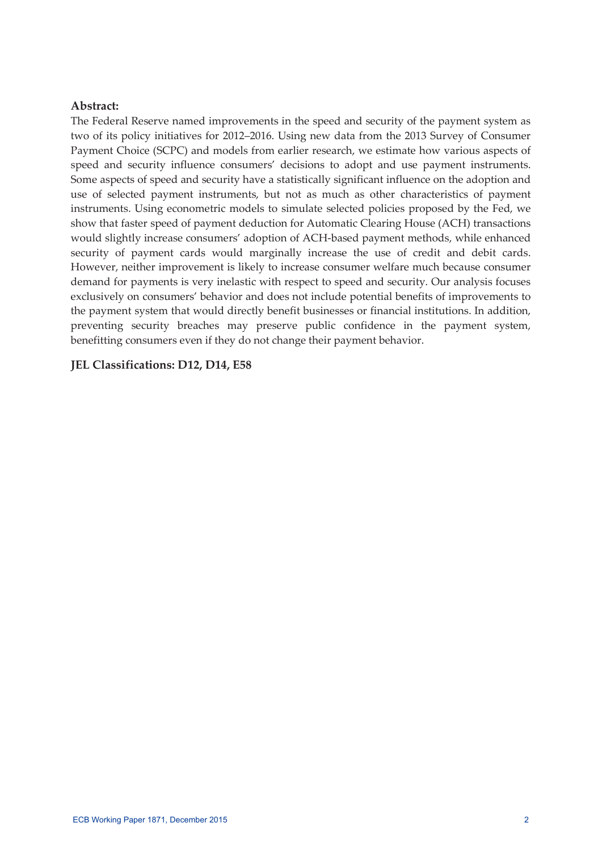#### **Abstract:**

The Federal Reserve named improvements in the speed and security of the payment system as two of its policy initiatives for 2012–2016. Using new data from the 2013 Survey of Consumer Payment Choice (SCPC) and models from earlier research, we estimate how various aspects of speed and security influence consumers' decisions to adopt and use payment instruments. Some aspects of speed and security have a statistically significant influence on the adoption and use of selected payment instruments, but not as much as other characteristics of payment instruments. Using econometric models to simulate selected policies proposed by the Fed, we show that faster speed of payment deduction for Automatic Clearing House (ACH) transactions would slightly increase consumers' adoption of ACH-based payment methods, while enhanced security of payment cards would marginally increase the use of credit and debit cards. However, neither improvement is likely to increase consumer welfare much because consumer demand for payments is very inelastic with respect to speed and security. Our analysis focuses exclusively on consumers' behavior and does not include potential benefits of improvements to the payment system that would directly benefit businesses or financial institutions. In addition, preventing security breaches may preserve public confidence in the payment system, benefitting consumers even if they do not change their payment behavior.

#### **JEL Classifications: D12, D14, E58**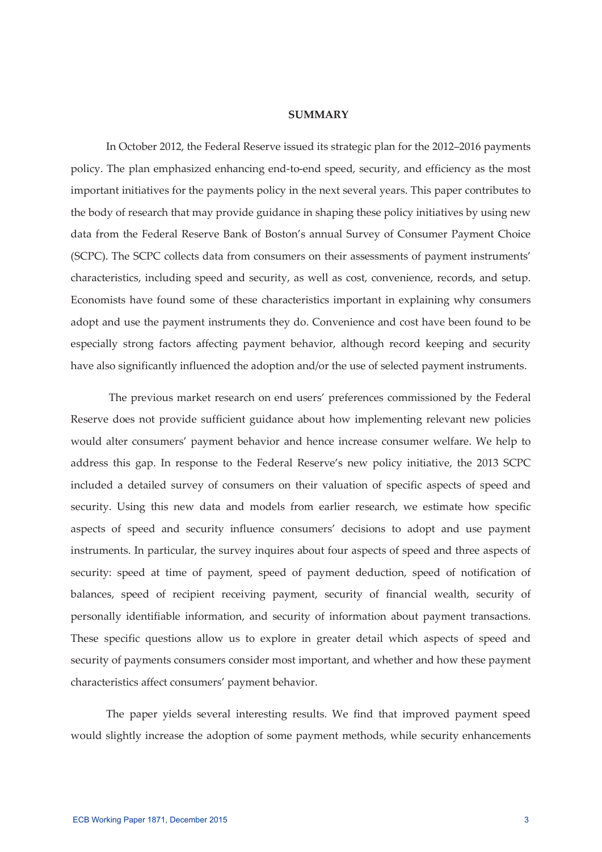#### **SUMMARY**

In October 2012, the Federal Reserve issued its strategic plan for the 2012–2016 payments policy. The plan emphasized enhancing end-to-end speed, security, and efficiency as the most important initiatives for the payments policy in the next several years. This paper contributes to the body of research that may provide guidance in shaping these policy initiatives by using new data from the Federal Reserve Bank of Boston's annual Survey of Consumer Payment Choice (SCPC). The SCPC collects data from consumers on their assessments of payment instruments' characteristics, including speed and security, as well as cost, convenience, records, and setup. Economists have found some of these characteristics important in explaining why consumers adopt and use the payment instruments they do. Convenience and cost have been found to be especially strong factors affecting payment behavior, although record keeping and security have also significantly influenced the adoption and/or the use of selected payment instruments.

 The previous market research on end users' preferences commissioned by the Federal Reserve does not provide sufficient guidance about how implementing relevant new policies would alter consumers' payment behavior and hence increase consumer welfare. We help to address this gap. In response to the Federal Reserve's new policy initiative, the 2013 SCPC included a detailed survey of consumers on their valuation of specific aspects of speed and security. Using this new data and models from earlier research, we estimate how specific aspects of speed and security influence consumers' decisions to adopt and use payment instruments. In particular, the survey inquires about four aspects of speed and three aspects of security: speed at time of payment, speed of payment deduction, speed of notification of balances, speed of recipient receiving payment, security of financial wealth, security of personally identifiable information, and security of information about payment transactions. These specific questions allow us to explore in greater detail which aspects of speed and security of payments consumers consider most important, and whether and how these payment characteristics affect consumers' payment behavior.

The paper yields several interesting results. We find that improved payment speed would slightly increase the adoption of some payment methods, while security enhancements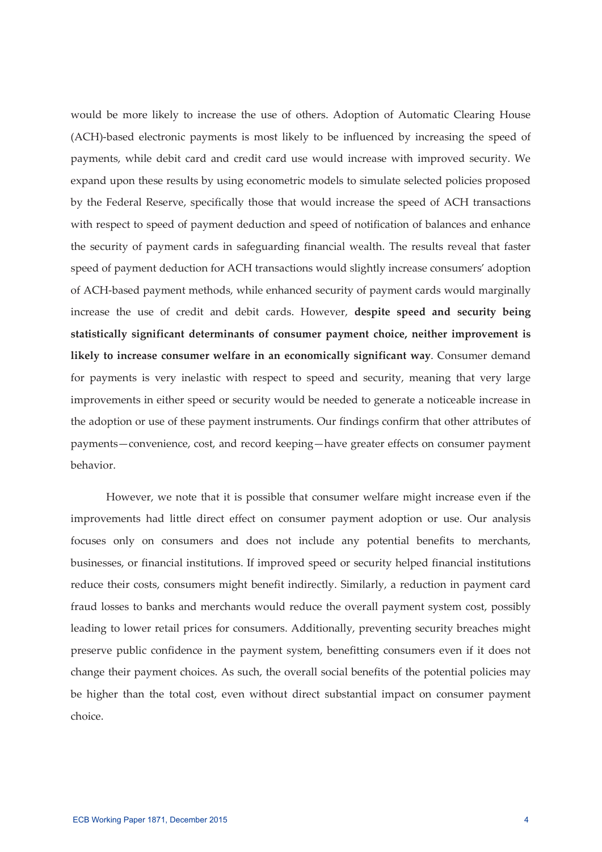would be more likely to increase the use of others. Adoption of Automatic Clearing House (ACH)-based electronic payments is most likely to be influenced by increasing the speed of payments, while debit card and credit card use would increase with improved security. We expand upon these results by using econometric models to simulate selected policies proposed by the Federal Reserve, specifically those that would increase the speed of ACH transactions with respect to speed of payment deduction and speed of notification of balances and enhance the security of payment cards in safeguarding financial wealth. The results reveal that faster speed of payment deduction for ACH transactions would slightly increase consumers' adoption of ACH-based payment methods, while enhanced security of payment cards would marginally increase the use of credit and debit cards. However, **despite speed and security being statistically significant determinants of consumer payment choice, neither improvement is likely to increase consumer welfare in an economically significant way**. Consumer demand for payments is very inelastic with respect to speed and security, meaning that very large improvements in either speed or security would be needed to generate a noticeable increase in the adoption or use of these payment instruments. Our findings confirm that other attributes of payments—convenience, cost, and record keeping—have greater effects on consumer payment behavior.

However, we note that it is possible that consumer welfare might increase even if the improvements had little direct effect on consumer payment adoption or use. Our analysis focuses only on consumers and does not include any potential benefits to merchants, businesses, or financial institutions. If improved speed or security helped financial institutions reduce their costs, consumers might benefit indirectly. Similarly, a reduction in payment card fraud losses to banks and merchants would reduce the overall payment system cost, possibly leading to lower retail prices for consumers. Additionally, preventing security breaches might preserve public confidence in the payment system, benefitting consumers even if it does not change their payment choices. As such, the overall social benefits of the potential policies may be higher than the total cost, even without direct substantial impact on consumer payment choice.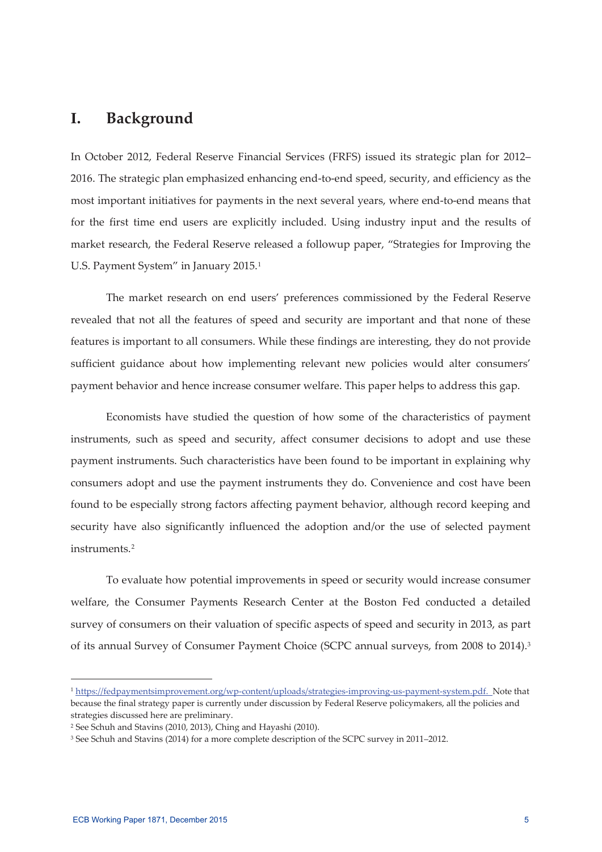## **I. Background**

In October 2012, Federal Reserve Financial Services (FRFS) issued its strategic plan for 2012– 2016. The strategic plan emphasized enhancing end-to-end speed, security, and efficiency as the most important initiatives for payments in the next several years, where end-to-end means that for the first time end users are explicitly included. Using industry input and the results of market research, the Federal Reserve released a followup paper, "Strategies for Improving the U.S. Payment System" in January 2015.<sup>1</sup>

The market research on end users' preferences commissioned by the Federal Reserve revealed that not all the features of speed and security are important and that none of these features is important to all consumers. While these findings are interesting, they do not provide sufficient guidance about how implementing relevant new policies would alter consumers' payment behavior and hence increase consumer welfare. This paper helps to address this gap.

Economists have studied the question of how some of the characteristics of payment instruments, such as speed and security, affect consumer decisions to adopt and use these payment instruments. Such characteristics have been found to be important in explaining why consumers adopt and use the payment instruments they do. Convenience and cost have been found to be especially strong factors affecting payment behavior, although record keeping and security have also significantly influenced the adoption and/or the use of selected payment instruments.2

To evaluate how potential improvements in speed or security would increase consumer welfare, the Consumer Payments Research Center at the Boston Fed conducted a detailed survey of consumers on their valuation of specific aspects of speed and security in 2013, as part of its annual Survey of Consumer Payment Choice (SCPC annual surveys, from 2008 to 2014).3

<sup>1</sup> https://fedpaymentsimprovement.org/wp-content/uploads/strategies-improving-us-payment-system.pdf. Note that because the final strategy paper is currently under discussion by Federal Reserve policymakers, all the policies and strategies discussed here are preliminary.

<sup>2</sup> See Schuh and Stavins (2010, 2013), Ching and Hayashi (2010).

<sup>3</sup> See Schuh and Stavins (2014) for a more complete description of the SCPC survey in 2011–2012.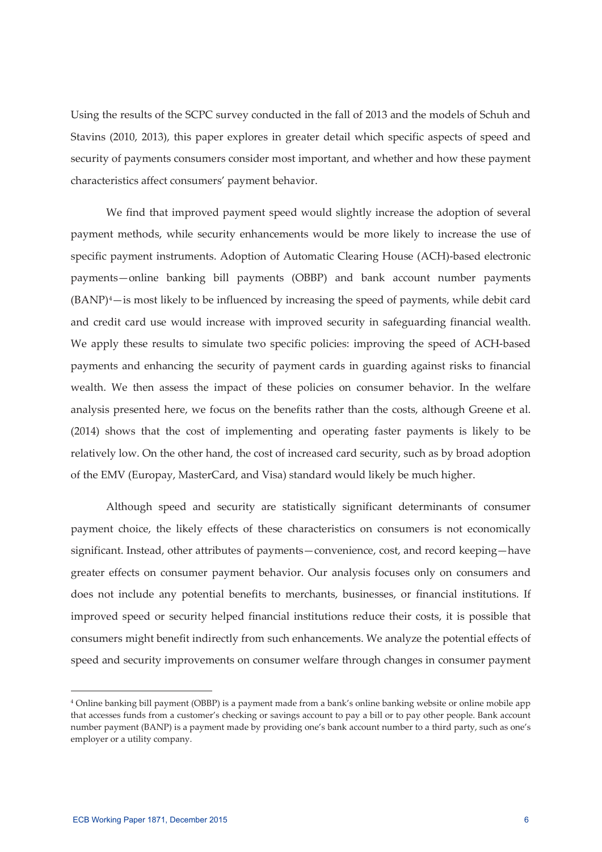Using the results of the SCPC survey conducted in the fall of 2013 and the models of Schuh and Stavins (2010, 2013), this paper explores in greater detail which specific aspects of speed and security of payments consumers consider most important, and whether and how these payment characteristics affect consumers' payment behavior.

We find that improved payment speed would slightly increase the adoption of several payment methods, while security enhancements would be more likely to increase the use of specific payment instruments. Adoption of Automatic Clearing House (ACH)-based electronic payments—online banking bill payments (OBBP) and bank account number payments  $(BANP)^4$  - is most likely to be influenced by increasing the speed of payments, while debit card and credit card use would increase with improved security in safeguarding financial wealth. We apply these results to simulate two specific policies: improving the speed of ACH-based payments and enhancing the security of payment cards in guarding against risks to financial wealth. We then assess the impact of these policies on consumer behavior. In the welfare analysis presented here, we focus on the benefits rather than the costs, although Greene et al. (2014) shows that the cost of implementing and operating faster payments is likely to be relatively low. On the other hand, the cost of increased card security, such as by broad adoption of the EMV (Europay, MasterCard, and Visa) standard would likely be much higher.

Although speed and security are statistically significant determinants of consumer payment choice, the likely effects of these characteristics on consumers is not economically significant. Instead, other attributes of payments—convenience, cost, and record keeping—have greater effects on consumer payment behavior. Our analysis focuses only on consumers and does not include any potential benefits to merchants, businesses, or financial institutions. If improved speed or security helped financial institutions reduce their costs, it is possible that consumers might benefit indirectly from such enhancements. We analyze the potential effects of speed and security improvements on consumer welfare through changes in consumer payment

<sup>4</sup> Online banking bill payment (OBBP) is a payment made from a bank's online banking website or online mobile app that accesses funds from a customer's checking or savings account to pay a bill or to pay other people. Bank account number payment (BANP) is a payment made by providing one's bank account number to a third party, such as one's employer or a utility company.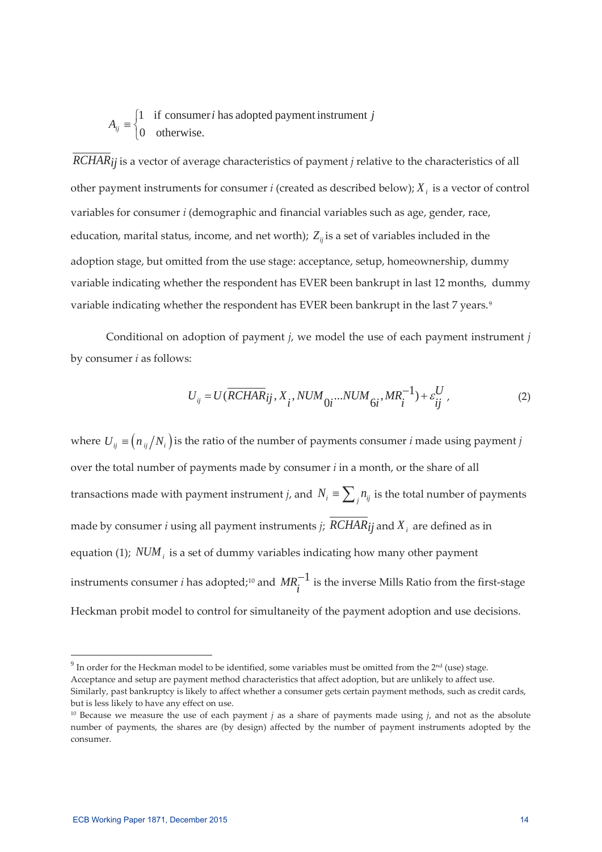# Getting the balance right: innovation, trust and regulation in retail payments

#### Biennial retail payments conference Organised by the European Central Bank and Suomen Pankki

biennial retail payments conference titled "Getting the This paper was submitted and accepted for the balance right: innovation, trust and regulation in retail payments ". The conference, ointly organised by the **European Central Bank** and Suomen Pankki, was held on  $4$  and  $5$  line 2015 in Hsinki. Is aim was to identify possible developments and dynamics that will shape the future retail payments landscape and to provide a forum for debate among market participants, policy -makers, regulators and researchers

h Europe, harmonised SEPA payment instruments have recently replaced national credit transfers and direct debits, resulting in billions of monthly payments now being based on the same business and technical standards. Two important EU legislative initiatives - the revised Payment Services Directive and the regulation on interchange fees - will continue to affect the retail payments market, especially the card payment business and the market for innovative payment services. Another new piece of EU legislation, the Payment Accounts Directive, will bring about a high degree of price transparency in payment account services and aims to promote financial inclusion. Technological advances are driving the development of an increasing variety of services, including new personto-person payment solutions and instant payment services for end users. New concepts of market structure and new types of business model are being discussed and could be put into practice.

All the above will have an impact on payment behaviour and payment methods used. I may raise new questions on how to ensure trust in retail payment schemes and systems. **h** addition, owing to regulatory and technical developments both in Europe and beyond, new players are entering the market, challenging the role of the incumbent payment service providers and their payment solutions. Furthermore, the continuous trend of globalisation and growing international trade has fostered the call for more efficient cross- border payment solutions. The conference provided the opportunity to discuss these issues, and possible solutions, from both policy and academic perspectives

their

The selection and refereeing process for this paper was carried out by the conference organisation committee, which comprises experts from both organising institutions. Papers were selected based on their quality and on the relevance of the research subject to the main themes of the event. Following the conference the authors of the selected papers were invited to revise their paper to take into consideration discussant feedback and other comments from the conference.

The paper is being published in order to disseminate the research work submitted to the conference to a wider audience. All the academic papers presented at the 2015 conference can be found at http://www.ecb.europa.eu/pub/conferences/html/150604retpaym.en.html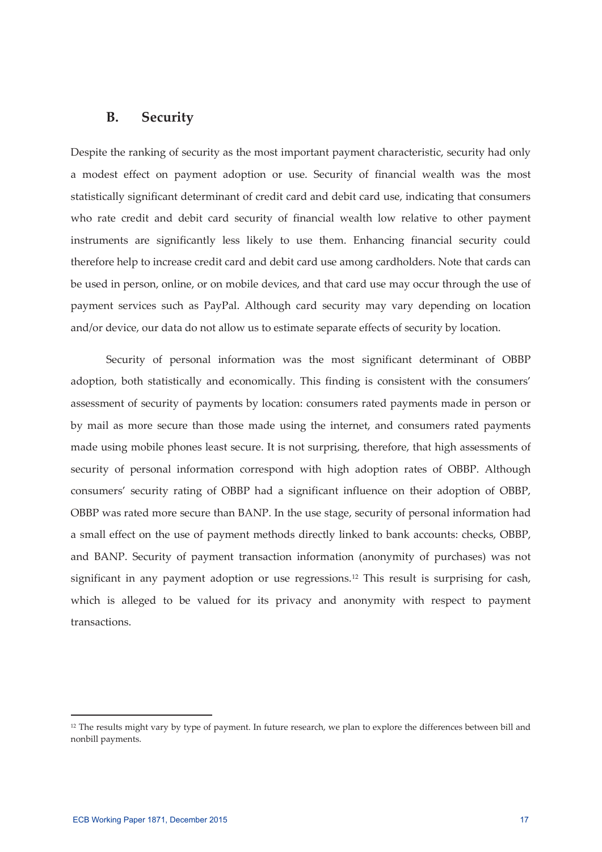#### **B. Security**

Despite the ranking of security as the most important payment characteristic, security had only a modest effect on payment adoption or use. Security of financial wealth was the most statistically significant determinant of credit card and debit card use, indicating that consumers who rate credit and debit card security of financial wealth low relative to other payment instruments are significantly less likely to use them. Enhancing financial security could therefore help to increase credit card and debit card use among cardholders. Note that cards can be used in person, online, or on mobile devices, and that card use may occur through the use of payment services such as PayPal. Although card security may vary depending on location and/or device, our data do not allow us to estimate separate effects of security by location.

Security of personal information was the most significant determinant of OBBP adoption, both statistically and economically. This finding is consistent with the consumers' assessment of security of payments by location: consumers rated payments made in person or by mail as more secure than those made using the internet, and consumers rated payments made using mobile phones least secure. It is not surprising, therefore, that high assessments of security of personal information correspond with high adoption rates of OBBP. Although consumers' security rating of OBBP had a significant influence on their adoption of OBBP, OBBP was rated more secure than BANP. In the use stage, security of personal information had a small effect on the use of payment methods directly linked to bank accounts: checks, OBBP, and BANP. Security of payment transaction information (anonymity of purchases) was not significant in any payment adoption or use regressions.<sup>12</sup> This result is surprising for cash, which is alleged to be valued for its privacy and anonymity with respect to payment transactions.

 $12$  The results might vary by type of payment. In future research, we plan to explore the differences between bill and nonbill payments.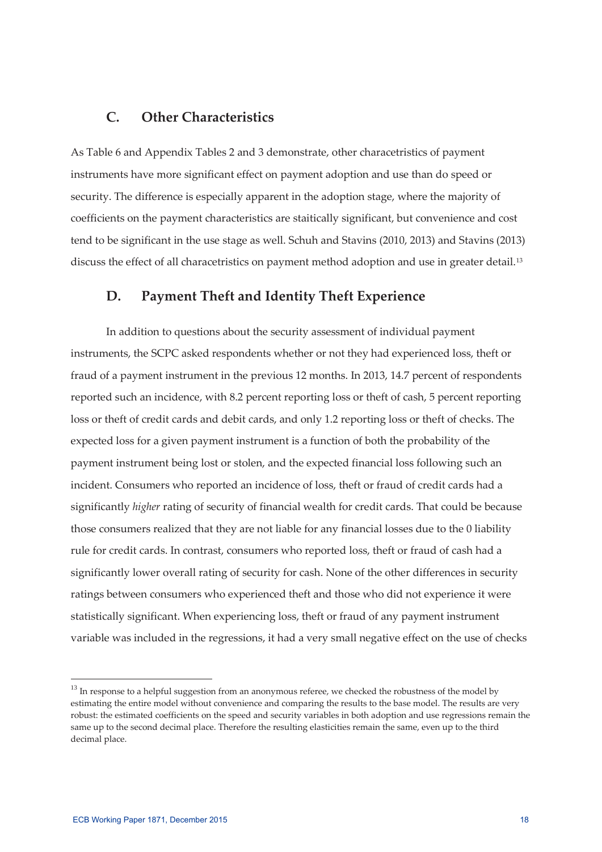### **C. Other Characteristics**

As Table 6 and Appendix Tables 2 and 3 demonstrate, other characetristics of payment instruments have more significant effect on payment adoption and use than do speed or security. The difference is especially apparent in the adoption stage, where the majority of coefficients on the payment characteristics are staitically significant, but convenience and cost tend to be significant in the use stage as well. Schuh and Stavins (2010, 2013) and Stavins (2013) discuss the effect of all characetristics on payment method adoption and use in greater detail.<sup>13</sup>

#### **D. Payment Theft and Identity Theft Experience**

In addition to questions about the security assessment of individual payment instruments, the SCPC asked respondents whether or not they had experienced loss, theft or fraud of a payment instrument in the previous 12 months. In 2013, 14.7 percent of respondents reported such an incidence, with 8.2 percent reporting loss or theft of cash, 5 percent reporting loss or theft of credit cards and debit cards, and only 1.2 reporting loss or theft of checks. The expected loss for a given payment instrument is a function of both the probability of the payment instrument being lost or stolen, and the expected financial loss following such an incident. Consumers who reported an incidence of loss, theft or fraud of credit cards had a significantly *higher* rating of security of financial wealth for credit cards. That could be because those consumers realized that they are not liable for any financial losses due to the 0 liability rule for credit cards. In contrast, consumers who reported loss, theft or fraud of cash had a significantly lower overall rating of security for cash. None of the other differences in security ratings between consumers who experienced theft and those who did not experience it were statistically significant. When experiencing loss, theft or fraud of any payment instrument variable was included in the regressions, it had a very small negative effect on the use of checks

 $13$  In response to a helpful suggestion from an anonymous referee, we checked the robustness of the model by estimating the entire model without convenience and comparing the results to the base model. The results are very robust: the estimated coefficients on the speed and security variables in both adoption and use regressions remain the same up to the second decimal place. Therefore the resulting elasticities remain the same, even up to the third decimal place.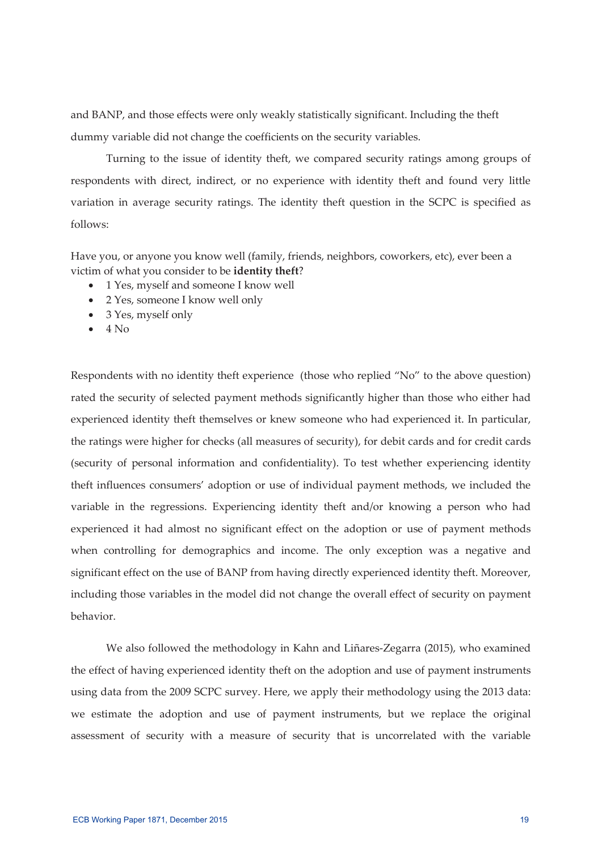and BANP, and those effects were only weakly statistically significant. Including the theft dummy variable did not change the coefficients on the security variables.

 Turning to the issue of identity theft, we compared security ratings among groups of respondents with direct, indirect, or no experience with identity theft and found very little variation in average security ratings. The identity theft question in the SCPC is specified as follows:

Have you, or anyone you know well (family, friends, neighbors, coworkers, etc), ever been a victim of what you consider to be **identity theft**?

- 1 Yes, myself and someone I know well
- 2 Yes, someone I know well only
- $\bullet$  3 Yes, myself only
- $\bullet$  4 No

Respondents with no identity theft experience (those who replied "No" to the above question) rated the security of selected payment methods significantly higher than those who either had experienced identity theft themselves or knew someone who had experienced it. In particular, the ratings were higher for checks (all measures of security), for debit cards and for credit cards (security of personal information and confidentiality). To test whether experiencing identity theft influences consumers' adoption or use of individual payment methods, we included the variable in the regressions. Experiencing identity theft and/or knowing a person who had experienced it had almost no significant effect on the adoption or use of payment methods when controlling for demographics and income. The only exception was a negative and significant effect on the use of BANP from having directly experienced identity theft. Moreover, including those variables in the model did not change the overall effect of security on payment behavior.

We also followed the methodology in Kahn and Liñares-Zegarra (2015), who examined the effect of having experienced identity theft on the adoption and use of payment instruments using data from the 2009 SCPC survey. Here, we apply their methodology using the 2013 data: we estimate the adoption and use of payment instruments, but we replace the original assessment of security with a measure of security that is uncorrelated with the variable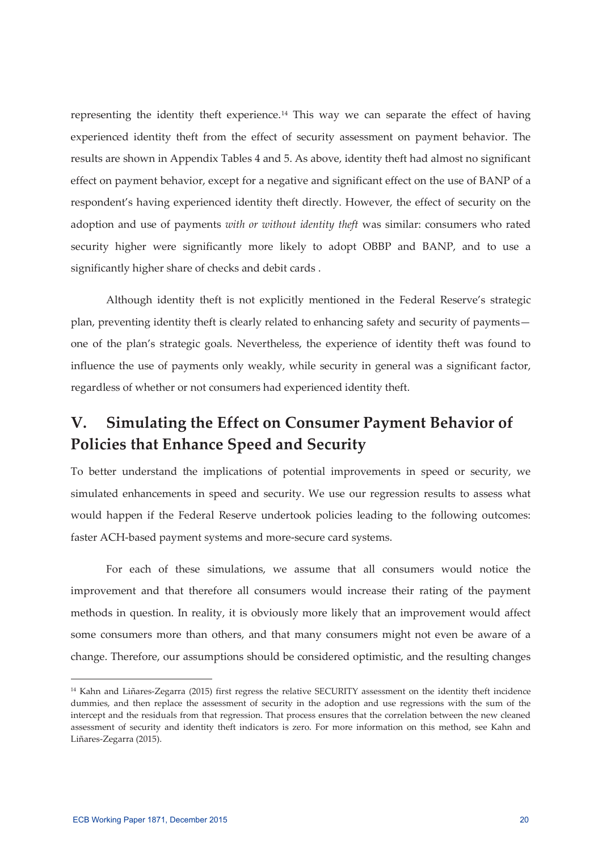representing the identity theft experience.14 This way we can separate the effect of having experienced identity theft from the effect of security assessment on payment behavior. The results are shown in Appendix Tables 4 and 5. As above, identity theft had almost no significant effect on payment behavior, except for a negative and significant effect on the use of BANP of a respondent's having experienced identity theft directly. However, the effect of security on the adoption and use of payments *with or without identity theft* was similar: consumers who rated security higher were significantly more likely to adopt OBBP and BANP, and to use a significantly higher share of checks and debit cards .

 Although identity theft is not explicitly mentioned in the Federal Reserve's strategic plan, preventing identity theft is clearly related to enhancing safety and security of payments one of the plan's strategic goals. Nevertheless, the experience of identity theft was found to influence the use of payments only weakly, while security in general was a significant factor, regardless of whether or not consumers had experienced identity theft.

# **V. Simulating the Effect on Consumer Payment Behavior of Policies that Enhance Speed and Security**

To better understand the implications of potential improvements in speed or security, we simulated enhancements in speed and security. We use our regression results to assess what would happen if the Federal Reserve undertook policies leading to the following outcomes: faster ACH-based payment systems and more-secure card systems.

For each of these simulations, we assume that all consumers would notice the improvement and that therefore all consumers would increase their rating of the payment methods in question. In reality, it is obviously more likely that an improvement would affect some consumers more than others, and that many consumers might not even be aware of a change. Therefore, our assumptions should be considered optimistic, and the resulting changes

<sup>14</sup> Kahn and Liñares-Zegarra (2015) first regress the relative SECURITY assessment on the identity theft incidence dummies, and then replace the assessment of security in the adoption and use regressions with the sum of the intercept and the residuals from that regression. That process ensures that the correlation between the new cleaned assessment of security and identity theft indicators is zero. For more information on this method, see Kahn and Liñares-Zegarra (2015).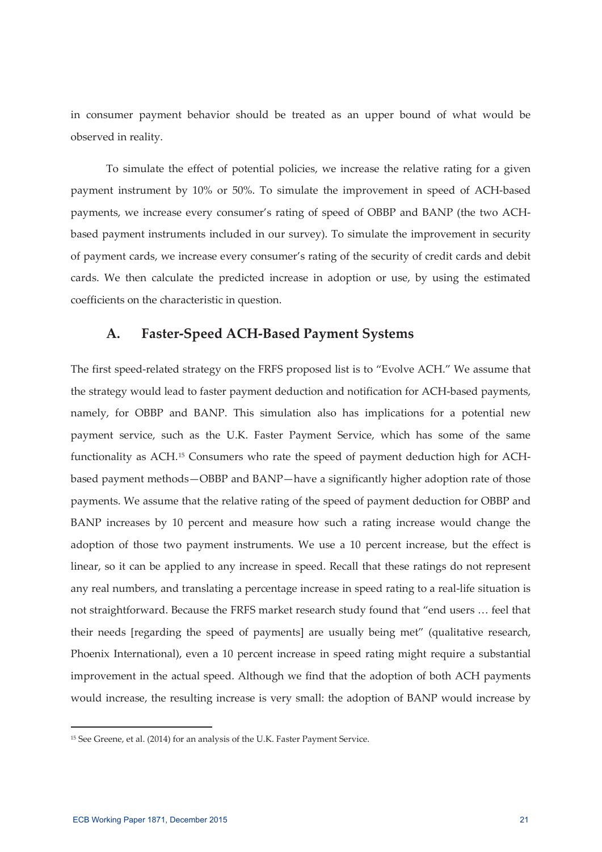in consumer payment behavior should be treated as an upper bound of what would be observed in reality.

To simulate the effect of potential policies, we increase the relative rating for a given payment instrument by 10% or 50%. To simulate the improvement in speed of ACH-based payments, we increase every consumer's rating of speed of OBBP and BANP (the two ACHbased payment instruments included in our survey). To simulate the improvement in security of payment cards, we increase every consumer's rating of the security of credit cards and debit cards. We then calculate the predicted increase in adoption or use, by using the estimated coefficients on the characteristic in question.

#### **A. Faster-Speed ACH-Based Payment Systems**

The first speed-related strategy on the FRFS proposed list is to "Evolve ACH." We assume that the strategy would lead to faster payment deduction and notification for ACH-based payments, namely, for OBBP and BANP. This simulation also has implications for a potential new payment service, such as the U.K. Faster Payment Service, which has some of the same functionality as ACH.15 Consumers who rate the speed of payment deduction high for ACHbased payment methods—OBBP and BANP—have a significantly higher adoption rate of those payments. We assume that the relative rating of the speed of payment deduction for OBBP and BANP increases by 10 percent and measure how such a rating increase would change the adoption of those two payment instruments. We use a 10 percent increase, but the effect is linear, so it can be applied to any increase in speed. Recall that these ratings do not represent any real numbers, and translating a percentage increase in speed rating to a real-life situation is not straightforward. Because the FRFS market research study found that "end users … feel that their needs [regarding the speed of payments] are usually being met" (qualitative research, Phoenix International), even a 10 percent increase in speed rating might require a substantial improvement in the actual speed. Although we find that the adoption of both ACH payments would increase, the resulting increase is very small: the adoption of BANP would increase by

<sup>15</sup> See Greene, et al. (2014) for an analysis of the U.K. Faster Payment Service.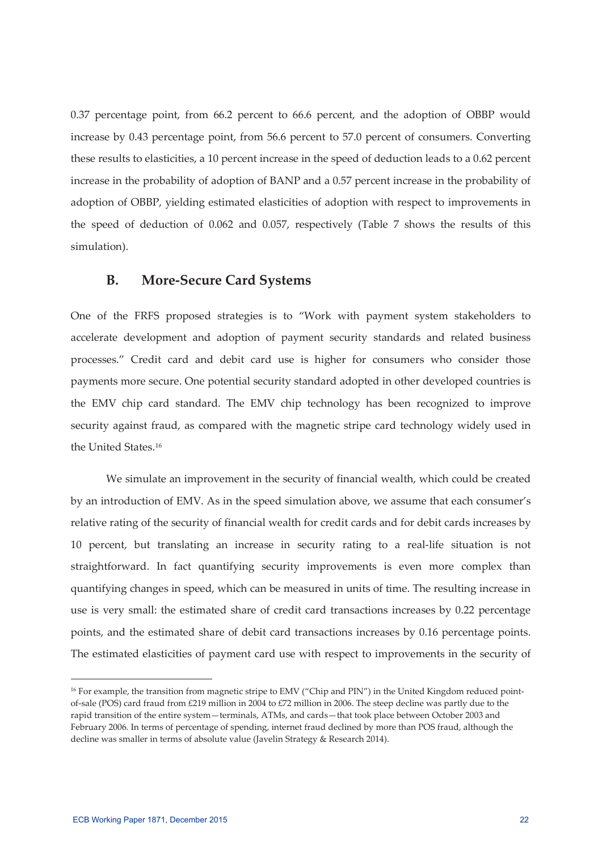0.37 percentage point, from 66.2 percent to 66.6 percent, and the adoption of OBBP would increase by 0.43 percentage point, from 56.6 percent to 57.0 percent of consumers. Converting these results to elasticities, a 10 percent increase in the speed of deduction leads to a 0.62 percent increase in the probability of adoption of BANP and a 0.57 percent increase in the probability of adoption of OBBP, yielding estimated elasticities of adoption with respect to improvements in the speed of deduction of 0.062 and 0.057, respectively (Table 7 shows the results of this simulation).

#### **B. More-Secure Card Systems**

One of the FRFS proposed strategies is to "Work with payment system stakeholders to accelerate development and adoption of payment security standards and related business processes." Credit card and debit card use is higher for consumers who consider those payments more secure. One potential security standard adopted in other developed countries is the EMV chip card standard. The EMV chip technology has been recognized to improve security against fraud, as compared with the magnetic stripe card technology widely used in the United States.16

We simulate an improvement in the security of financial wealth, which could be created by an introduction of EMV. As in the speed simulation above, we assume that each consumer's relative rating of the security of financial wealth for credit cards and for debit cards increases by 10 percent, but translating an increase in security rating to a real-life situation is not straightforward. In fact quantifying security improvements is even more complex than quantifying changes in speed, which can be measured in units of time. The resulting increase in use is very small: the estimated share of credit card transactions increases by 0.22 percentage points, and the estimated share of debit card transactions increases by 0.16 percentage points. The estimated elasticities of payment card use with respect to improvements in the security of

<sup>&</sup>lt;sup>16</sup> For example, the transition from magnetic stripe to EMV ("Chip and PIN") in the United Kingdom reduced pointof-sale (POS) card fraud from £219 million in 2004 to £72 million in 2006. The steep decline was partly due to the rapid transition of the entire system—terminals, ATMs, and cards—that took place between October 2003 and February 2006. In terms of percentage of spending, internet fraud declined by more than POS fraud, although the decline was smaller in terms of absolute value (Javelin Strategy & Research 2014).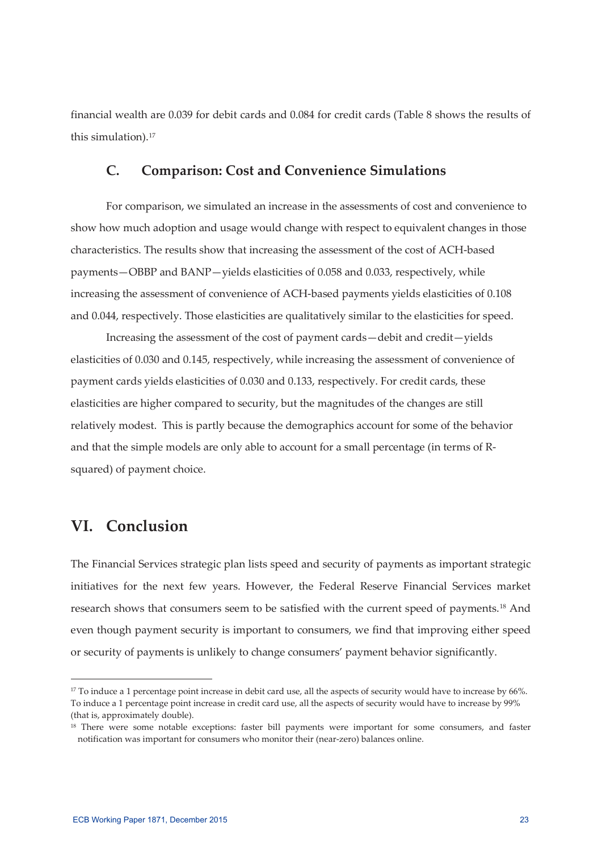financial wealth are 0.039 for debit cards and 0.084 for credit cards (Table 8 shows the results of this simulation).17

### **C. Comparison: Cost and Convenience Simulations**

For comparison, we simulated an increase in the assessments of cost and convenience to show how much adoption and usage would change with respect to equivalent changes in those characteristics. The results show that increasing the assessment of the cost of ACH-based payments—OBBP and BANP—yields elasticities of 0.058 and 0.033, respectively, while increasing the assessment of convenience of ACH-based payments yields elasticities of 0.108 and 0.044, respectively. Those elasticities are qualitatively similar to the elasticities for speed.

Increasing the assessment of the cost of payment cards—debit and credit—yields elasticities of 0.030 and 0.145, respectively, while increasing the assessment of convenience of payment cards yields elasticities of 0.030 and 0.133, respectively. For credit cards, these elasticities are higher compared to security, but the magnitudes of the changes are still relatively modest. This is partly because the demographics account for some of the behavior and that the simple models are only able to account for a small percentage (in terms of Rsquared) of payment choice.

## **VI. Conclusion**

The Financial Services strategic plan lists speed and security of payments as important strategic initiatives for the next few years. However, the Federal Reserve Financial Services market research shows that consumers seem to be satisfied with the current speed of payments.18 And even though payment security is important to consumers, we find that improving either speed or security of payments is unlikely to change consumers' payment behavior significantly.

<sup>&</sup>lt;sup>17</sup> To induce a 1 percentage point increase in debit card use, all the aspects of security would have to increase by 66%. To induce a 1 percentage point increase in credit card use, all the aspects of security would have to increase by 99% (that is, approximately double).

<sup>18</sup> There were some notable exceptions: faster bill payments were important for some consumers, and faster notification was important for consumers who monitor their (near-zero) balances online.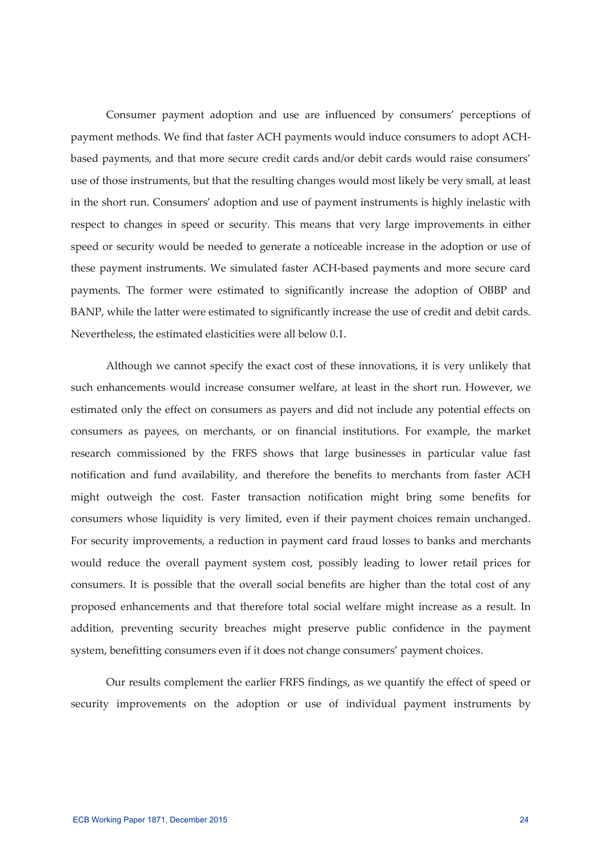Consumer payment adoption and use are influenced by consumers' perceptions of payment methods. We find that faster ACH payments would induce consumers to adopt ACHbased payments, and that more secure credit cards and/or debit cards would raise consumers' use of those instruments, but that the resulting changes would most likely be very small, at least in the short run. Consumers' adoption and use of payment instruments is highly inelastic with respect to changes in speed or security. This means that very large improvements in either speed or security would be needed to generate a noticeable increase in the adoption or use of these payment instruments. We simulated faster ACH-based payments and more secure card payments. The former were estimated to significantly increase the adoption of OBBP and BANP, while the latter were estimated to significantly increase the use of credit and debit cards. Nevertheless, the estimated elasticities were all below 0.1.

Although we cannot specify the exact cost of these innovations, it is very unlikely that such enhancements would increase consumer welfare, at least in the short run. However, we estimated only the effect on consumers as payers and did not include any potential effects on consumers as payees, on merchants, or on financial institutions. For example, the market research commissioned by the FRFS shows that large businesses in particular value fast notification and fund availability, and therefore the benefits to merchants from faster ACH might outweigh the cost. Faster transaction notification might bring some benefits for consumers whose liquidity is very limited, even if their payment choices remain unchanged. For security improvements, a reduction in payment card fraud losses to banks and merchants would reduce the overall payment system cost, possibly leading to lower retail prices for consumers. It is possible that the overall social benefits are higher than the total cost of any proposed enhancements and that therefore total social welfare might increase as a result. In addition, preventing security breaches might preserve public confidence in the payment system, benefitting consumers even if it does not change consumers' payment choices.

Our results complement the earlier FRFS findings, as we quantify the effect of speed or security improvements on the adoption or use of individual payment instruments by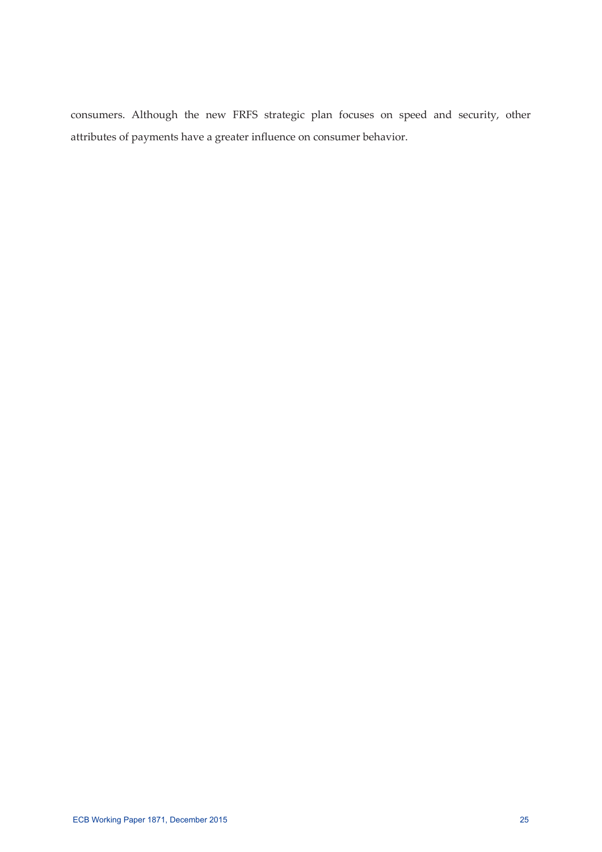consumers. Although the new FRFS strategic plan focuses on speed and security, other attributes of payments have a greater influence on consumer behavior.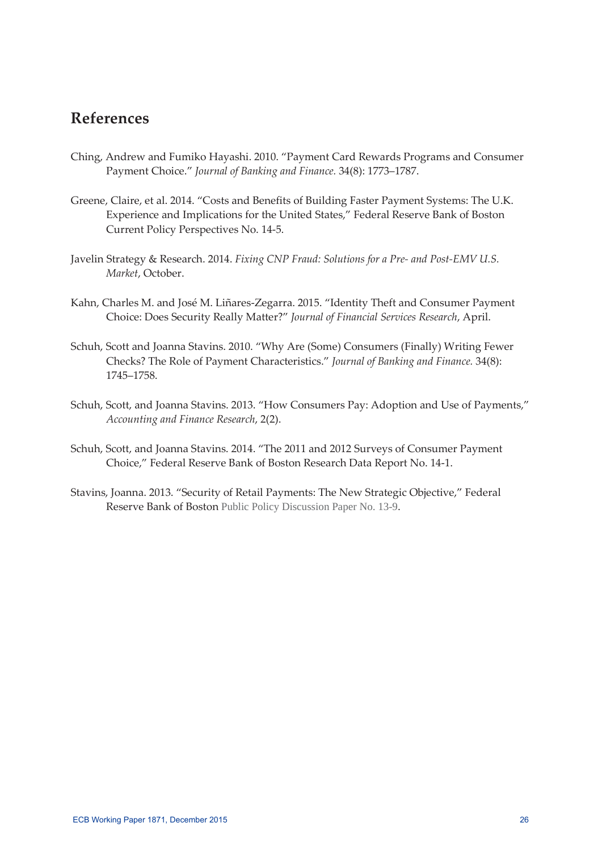# **References**

- Ching, Andrew and Fumiko Hayashi. 2010. "Payment Card Rewards Programs and Consumer Payment Choice." *Journal of Banking and Finance.* 34(8): 1773–1787.
- Greene, Claire, et al. 2014. "Costs and Benefits of Building Faster Payment Systems: The U.K. Experience and Implications for the United States," Federal Reserve Bank of Boston Current Policy Perspectives No. 14-5.
- Javelin Strategy & Research. 2014. *Fixing CNP Fraud: Solutions for a Pre- and Post-EMV U.S. Market*, October.
- Kahn, Charles M. and José M. Liñares-Zegarra. 2015. "Identity Theft and Consumer Payment Choice: Does Security Really Matter?" *Journal of Financial Services Research*, April.
- Schuh, Scott and Joanna Stavins. 2010. "Why Are (Some) Consumers (Finally) Writing Fewer Checks? The Role of Payment Characteristics." *Journal of Banking and Finance.* 34(8): 1745–1758.
- Schuh, Scott, and Joanna Stavins. 2013. "How Consumers Pay: Adoption and Use of Payments," *Accounting and Finance Research*, 2(2).
- Schuh, Scott, and Joanna Stavins. 2014. "The 2011 and 2012 Surveys of Consumer Payment Choice," Federal Reserve Bank of Boston Research Data Report No. 14-1.
- Stavins, Joanna. 2013. "Security of Retail Payments: The New Strategic Objective," Federal Reserve Bank of Boston Public Policy Discussion Paper No. 13-9.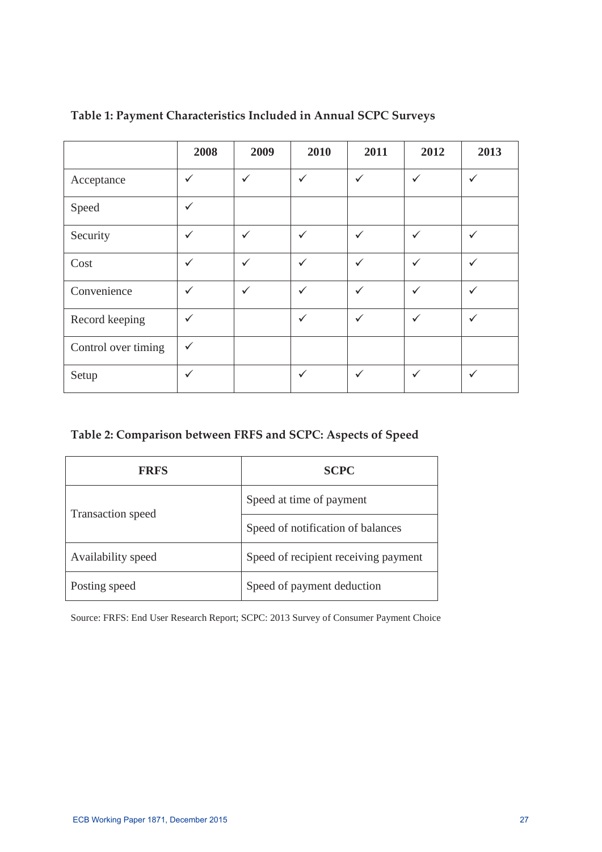|                     | 2008         | 2009         | 2010         | 2011         | 2012         | 2013         |
|---------------------|--------------|--------------|--------------|--------------|--------------|--------------|
| Acceptance          | $\checkmark$ | $\checkmark$ | $\checkmark$ | $\checkmark$ | $\checkmark$ | $\checkmark$ |
| Speed               | $\checkmark$ |              |              |              |              |              |
| Security            | $\checkmark$ | $\checkmark$ | $\checkmark$ | $\checkmark$ | $\checkmark$ | $\checkmark$ |
| Cost                | $\checkmark$ | $\checkmark$ | $\checkmark$ | $\checkmark$ | $\checkmark$ | $\checkmark$ |
| Convenience         | $\checkmark$ | $\checkmark$ | $\checkmark$ | $\checkmark$ | ✓            | $\checkmark$ |
| Record keeping      | $\checkmark$ |              | $\checkmark$ | $\checkmark$ | ✓            | $\checkmark$ |
| Control over timing | $\checkmark$ |              |              |              |              |              |
| Setup               | $\checkmark$ |              | $\checkmark$ | $\checkmark$ |              | $\checkmark$ |

## **Table 1: Payment Characteristics Included in Annual SCPC Surveys**

## **Table 2: Comparison between FRFS and SCPC: Aspects of Speed**

| <b>FRFS</b>              | <b>SCPC</b>                          |
|--------------------------|--------------------------------------|
| <b>Transaction</b> speed | Speed at time of payment             |
|                          | Speed of notification of balances    |
| Availability speed       | Speed of recipient receiving payment |
| Posting speed            | Speed of payment deduction           |

Source: FRFS: End User Research Report; SCPC: 2013 Survey of Consumer Payment Choice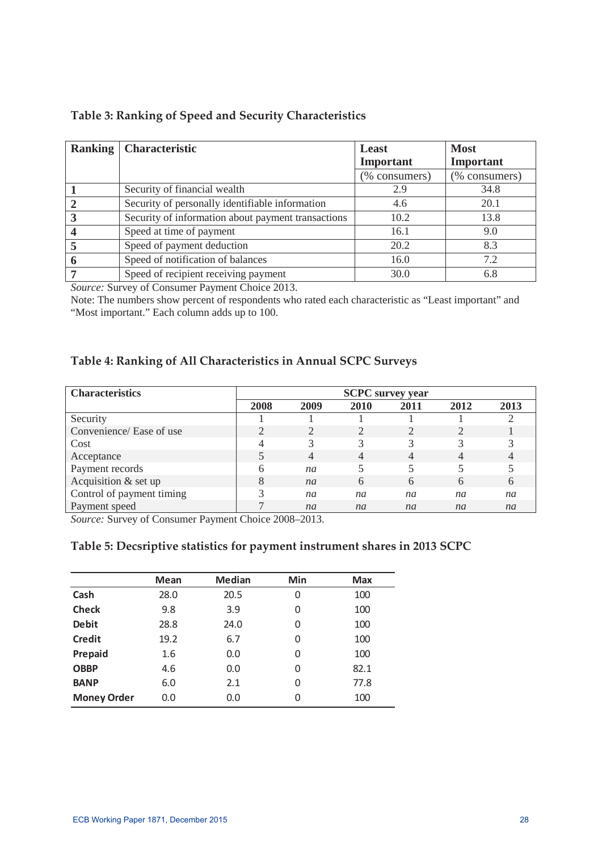| Table 3: Ranking of Speed and Security Characteristics |  |  |
|--------------------------------------------------------|--|--|
|                                                        |  |  |

|   | <b>Ranking   Characteristic</b>                    | Least         | <b>Most</b>   |
|---|----------------------------------------------------|---------------|---------------|
|   |                                                    | Important     | Important     |
|   |                                                    | (% consumers) | (% consumers) |
|   | Security of financial wealth                       | 2.9           | 34.8          |
|   | Security of personally identifiable information    | 4.6           | 20.1          |
| 3 | Security of information about payment transactions | 10.2          | 13.8          |
|   | Speed at time of payment                           | 16.1          | 9.0           |
|   | Speed of payment deduction                         | 20.2          | 8.3           |
|   | Speed of notification of balances                  | 16.0          | 7.2           |
|   | Speed of recipient receiving payment               | 30.0          | 6.8           |

*Source:* Survey of Consumer Payment Choice 2013.

Note: The numbers show percent of respondents who rated each characteristic as "Least important" and "Most important." Each column adds up to 100.

### **Table 4: Ranking of All Characteristics in Annual SCPC Surveys**

| <b>Characteristics</b>    |      |                | <b>SCPC</b> survey year |                    |                    |      |
|---------------------------|------|----------------|-------------------------|--------------------|--------------------|------|
|                           | 2008 | 2009           | 2010                    | 2011               | 2012               | 2013 |
| Security                  |      |                |                         |                    |                    |      |
| Convenience/ Ease of use  |      |                |                         |                    |                    |      |
| Cost                      |      |                |                         |                    |                    |      |
| Acceptance                |      | $\overline{4}$ | $\overline{4}$          | $\Delta$           | 4                  |      |
| Payment records           | h    | na             |                         |                    |                    |      |
| Acquisition & set up      | 8    | na             | $\mathsf{\hat{n}}$      | $\mathsf{\hat{n}}$ | $\mathsf{\hat{n}}$ | h    |
| Control of payment timing |      | na             | na                      | na                 | na                 | na   |
| Payment speed             |      | na             | na                      | na                 | na                 | na   |

*Source:* Survey of Consumer Payment Choice 2008–2013.

### **Table 5: Decsriptive statistics for payment instrument shares in 2013 SCPC**

|                    | Mean | <b>Median</b> | Min | <b>Max</b> |
|--------------------|------|---------------|-----|------------|
| Cash               | 28.0 | 20.5          | 0   | 100        |
| <b>Check</b>       | 9.8  | 3.9           | 0   | 100        |
| <b>Debit</b>       | 28.8 | 24.0          | 0   | 100        |
| Credit             | 19.2 | 6.7           | 0   | 100        |
| Prepaid            | 1.6  | 0.0           | 0   | 100        |
| <b>OBBP</b>        | 4.6  | 0.0           | 0   | 82.1       |
| <b>BANP</b>        | 6.0  | 2.1           | 0   | 77.8       |
| <b>Money Order</b> | 0.0  | 0.0           | 0   | 100        |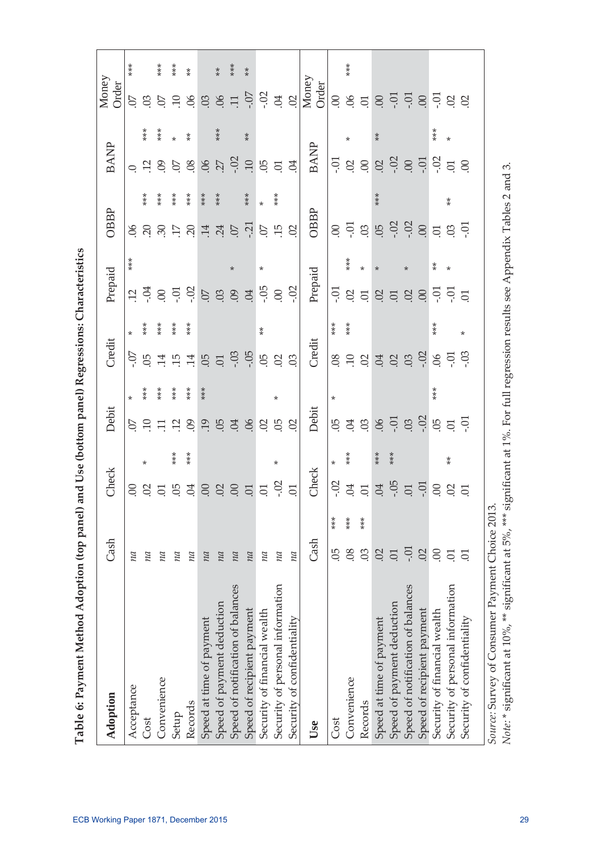Table 6: Payment Method Adoption (top panel) and Use (bottom panel) Regressions: Characteristics **Table 6: Payment Method Adoption (top panel) and Use (bottom panel) Regressions: Characteristics** 

| Adoption                                                                                                                                                                             | Cash           |     | Check            |          | Debit           |          | Credit          |        | Prepaid         |          | OBBP            |         | <b>BANP</b>    |         | Money<br>Order   |      |
|--------------------------------------------------------------------------------------------------------------------------------------------------------------------------------------|----------------|-----|------------------|----------|-----------------|----------|-----------------|--------|-----------------|----------|-----------------|---------|----------------|---------|------------------|------|
| Acceptance                                                                                                                                                                           | na             |     | $\odot$          |          | $\overline{C}$  |          | $-0.7$          | $\ast$ | $12$            | ***      | $\infty$        |         | $\circ$        |         | $\overline{C}$   | ***  |
| Cost                                                                                                                                                                                 | na             |     | $\overline{S}$   | *        | 10              | ***      | 05              | ***    | $-0.4$          |          | $\Omega$        | ***     |                | ***     | $\mathfrak{S}$   |      |
| Convenience                                                                                                                                                                          | na             |     | $\overline{C}$   |          | $\overline{11}$ | ***      | 14              | ***    | $\odot$         |          | 30              | ***     | 60             | $***$   | 07               | ***  |
| Setup                                                                                                                                                                                | na             |     | 05               | ***      | 12              | ***      | $\overline{15}$ | ***    | $\ddot{0}$ .    |          | $\overline{1}$  | ***     | $\overline{O}$ | $\star$ | 10               | ***  |
| Records                                                                                                                                                                              | na             |     | $\ddot{5}$       | ***      | $\Theta$        | ***      | 14              | ***    | $-0.2$          |          | $\overline{20}$ | ***     | $08$           | $***$   | 66               | $*$  |
| Speed at time of payment                                                                                                                                                             | na             |     | $\odot$          |          | 19              | ***      | 05              |        | $\overline{0}$  |          | 14              | ***     | 60             |         | .03              |      |
| Speed of payment deduction                                                                                                                                                           | na             |     | $\overline{C}$   |          | 05              |          | $\Box$          |        | $\overline{03}$ |          | 24              | ***     | $27 - 02$      | ***     | 90.              | $**$ |
| Speed of notification of balances                                                                                                                                                    | na             |     | $\odot$          |          | $\overline{04}$ |          | $-0.03$         |        | $\overline{60}$ | $\ast$   | $\overline{0}$  |         |                |         | $\overline{11}$  | ***  |
| Speed of recipient payment                                                                                                                                                           | na             |     | $\overline{0}$ . |          | $\infty$        |          | $-0.05$         |        | 04              |          | $-21$           | ***     | .10            | $**$    | $-0.7$           | $**$ |
| Security of financial wealth                                                                                                                                                         | na             |     | $\overline{C}$   |          | $\Omega$        |          | 05              | $**$   | $-0.5$          | $^\star$ | SO.             | $\star$ | 05             |         | $-0.02$          |      |
| Security of personal information                                                                                                                                                     | na             |     | $-02$            | $^\star$ | 05              | $\star$  | $\overline{C}$  |        | $\odot$         |          | 15              | ***     | $\overline{C}$ |         | 64               |      |
| Security of confidentiality                                                                                                                                                          | na             |     | Ξ.               |          | $\Omega$        |          | $\infty$        |        | $-0$            |          | $\Omega$        |         | $\overline{5}$ |         | $\Omega$         |      |
| Use                                                                                                                                                                                  | Cash           |     | Check            |          | Debit           |          | Credit          |        | Prepaid         |          | OBBP            |         | <b>BANP</b>    |         | Money<br>Order   |      |
| Cost                                                                                                                                                                                 | 8              | *** | $-0.2$           | *        | 05              | $^\star$ | 08              | ***    | $-0$ .          |          | $\Theta$        |         | $-0.1$         |         | 00               |      |
| Convenience                                                                                                                                                                          | $\overline{0}$ | *** | $\overline{5}$   | ***      | $\beta$         |          | 10              | ***    | $\mathcal{L}$   | ***      | $-0.5$          |         | $\Omega$       | ¥       | 66               | ***  |
| Records                                                                                                                                                                              | $\mathcal{L}$  | *** | $\overline{C}$   |          | $\overline{0}$  |          | $\Omega$        |        | $\overline{0}$  | $^\star$ | $\overline{0}$  |         | $\odot$        |         | $\overline{0}$   |      |
| Speed at time of payment                                                                                                                                                             | $\overline{C}$ |     | 04               | ***      | 90              |          |                 |        | $\Omega$        | $\ast$   | $-50$           | ***     |                | $**$    | 00               |      |
| Speed of payment deduction                                                                                                                                                           | $\overline{0}$ |     | $-0.5$           | ***      | $-0$ .          |          |                 |        | $\overline{C}$  |          | $-0.2$          |         | 8.8            |         | iO-              |      |
| Speed of notification of balances                                                                                                                                                    | $-0.01$        |     | $\overline{0}$   |          | $\overline{0}$  |          |                 |        | O2              | $\ast$   | $-02$           |         |                |         | $\overline{C}$ . |      |
| Speed of recipient payment                                                                                                                                                           | $\overline{C}$ |     | $-0.01$          |          | $-0.2$          |          | $-02$           |        | $\rm 00$        |          | $\Theta$        |         | $-0.01$        |         | $00\,$           |      |
| Security of financial wealth                                                                                                                                                         | $\odot$        |     | $\infty$         |          | 05              | ***      | $\infty$        | ***    | Ξ.              | $* *$    | $\overline{C}$  |         | $\frac{6}{10}$ | ***     | $-0$ .           |      |
| Security of personal information                                                                                                                                                     | $\overline{C}$ |     | $\overline{C}$   | $**$     | $\overline{C}$  |          | $-0$ .          |        | Ξ.              | $\ast$   | $\infty$        | $*$     |                | $\ast$  | $\overline{0}$   |      |
| Security of confidentiality                                                                                                                                                          | $\overline{C}$ |     | $\overline{C}$   |          | $-0$ .          |          | $-03$           | $\ast$ | $\overline{C}$  |          | $-0.1$          |         | $\infty$       |         | $\infty$         |      |
| Note: * significant at 10%, ** significant at 5%, *** significant at 1%. For full regression results see Appendix Tables 2 and 3.<br>Source: Survey of Consumer Payment Choice 2013. |                |     |                  |          |                 |          |                 |        |                 |          |                 |         |                |         |                  |      |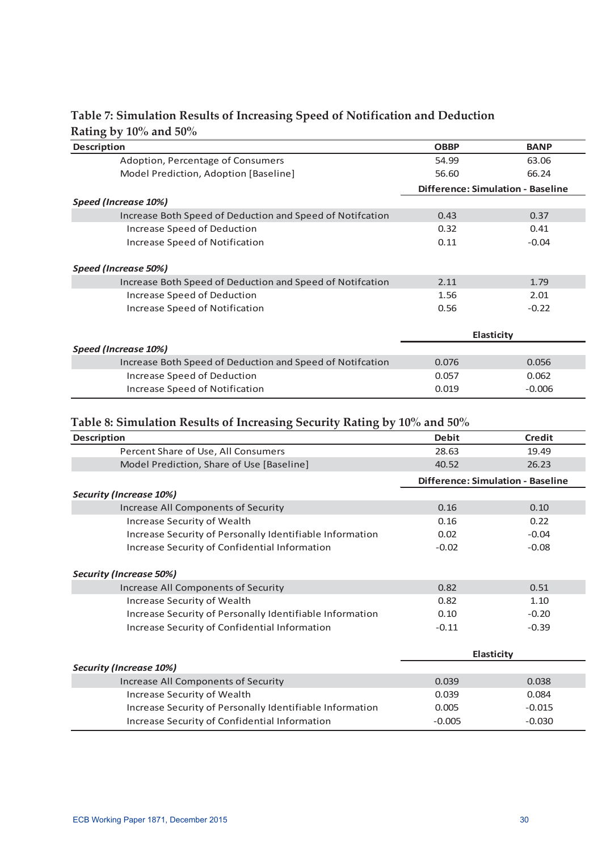| INGULILE DY 10 /0 GILL JU /0                               |             |                                          |
|------------------------------------------------------------|-------------|------------------------------------------|
| <b>Description</b>                                         | <b>OBBP</b> | <b>BANP</b>                              |
| Adoption, Percentage of Consumers                          | 54.99       | 63.06                                    |
| Model Prediction, Adoption [Baseline]                      | 56.60       | 66.24                                    |
|                                                            |             | <b>Difference: Simulation - Baseline</b> |
| Speed (Increase 10%)                                       |             |                                          |
| Increase Both Speed of Deduction and Speed of Notification | 0.43        | 0.37                                     |
| Increase Speed of Deduction                                | 0.32        | 0.41                                     |
| Increase Speed of Notification                             | 0.11        | $-0.04$                                  |
| Speed (Increase 50%)                                       |             |                                          |
| Increase Both Speed of Deduction and Speed of Notification | 2.11        | 1.79                                     |
| Increase Speed of Deduction                                | 1.56        | 2.01                                     |
| Increase Speed of Notification                             | 0.56        | $-0.22$                                  |
|                                                            |             | <b>Elasticity</b>                        |
| Speed (Increase 10%)                                       |             |                                          |
| Increase Both Speed of Deduction and Speed of Notifcation  | 0.076       | 0.056                                    |
| Increase Speed of Deduction                                | 0.057       | 0.062                                    |
| Increase Speed of Notification                             | 0.019       | $-0.006$                                 |

## **Table 7: Simulation Results of Increasing Speed of Notification and Deduction Rating by 10% and 50%**

## **Table 8: Simulation Results of Increasing Security Rating by 10% and 50%**

| <b>Description</b>                                       | <b>Debit</b> | <b>Credit</b>                            |
|----------------------------------------------------------|--------------|------------------------------------------|
| Percent Share of Use, All Consumers                      | 28.63        | 19.49                                    |
| Model Prediction, Share of Use [Baseline]                | 40.52        | 26.23                                    |
|                                                          |              | <b>Difference: Simulation - Baseline</b> |
| Security (Increase 10%)                                  |              |                                          |
| Increase All Components of Security                      | 0.16         | 0.10                                     |
| Increase Security of Wealth                              | 0.16         | 0.22                                     |
| Increase Security of Personally Identifiable Information | 0.02         | $-0.04$                                  |
| Increase Security of Confidential Information            | $-0.02$      | $-0.08$                                  |
| Security (Increase 50%)                                  |              |                                          |
| Increase All Components of Security                      | 0.82         | 0.51                                     |
| Increase Security of Wealth                              | 0.82         | 1.10                                     |
| Increase Security of Personally Identifiable Information | 0.10         | $-0.20$                                  |
| Increase Security of Confidential Information            | $-0.11$      | $-0.39$                                  |
|                                                          |              | <b>Elasticity</b>                        |
| Security (Increase 10%)                                  |              |                                          |
| Increase All Components of Security                      | 0.039        | 0.038                                    |
| Increase Security of Wealth                              | 0.039        | 0.084                                    |
| Increase Security of Personally Identifiable Information | 0.005        | $-0.015$                                 |
| Increase Security of Confidential Information            | $-0.005$     | $-0.030$                                 |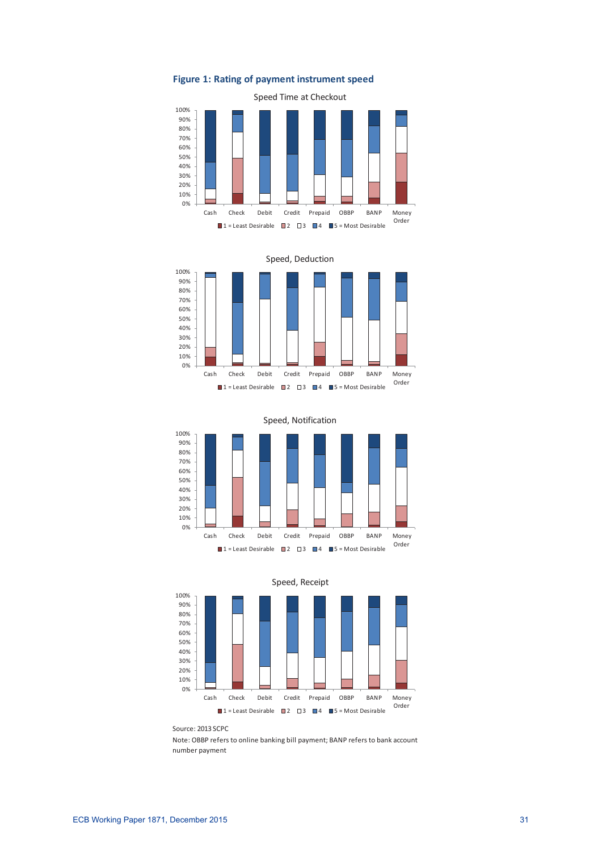

**Figure 1: Rating of payment instrument speed**













Note: OBBP refers to online banking bill payment; BANP refers to bank account number payment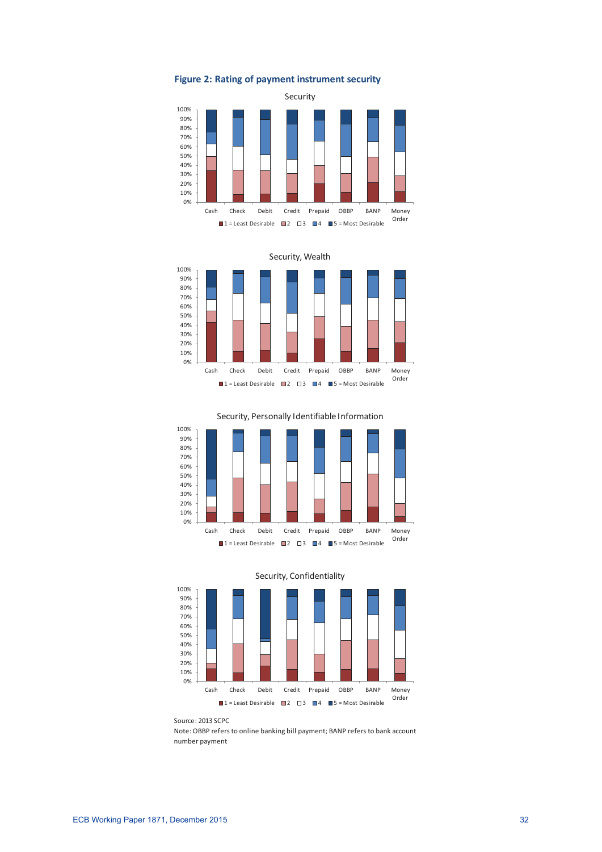**Figure 2: Rating of payment instrument security**



Security, Wealth



Security, Personally Identifiable Information





Source: 2013 SCPC

Note: OBBP refers to online banking bill payment; BANP refers to bank account number payment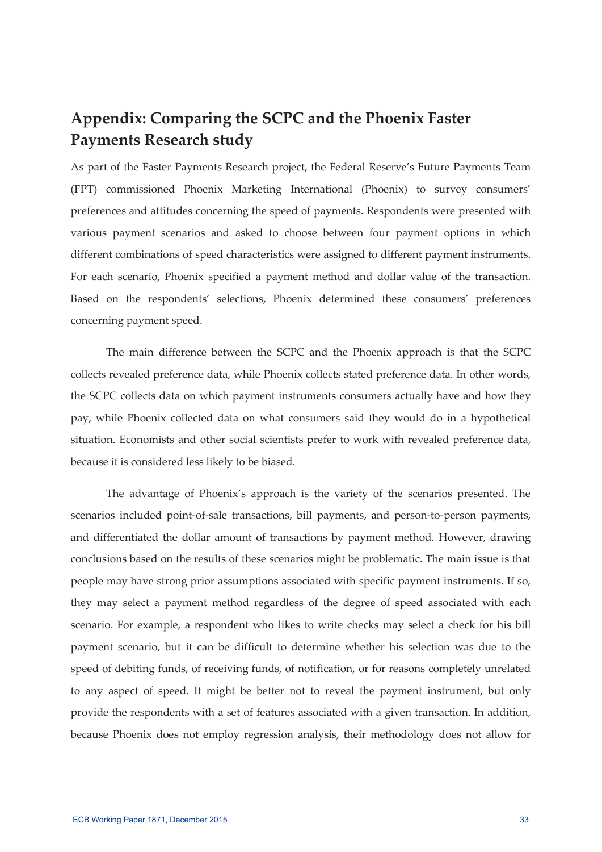# **Appendix: Comparing the SCPC and the Phoenix Faster Payments Research study**

As part of the Faster Payments Research project, the Federal Reserve's Future Payments Team (FPT) commissioned Phoenix Marketing International (Phoenix) to survey consumers' preferences and attitudes concerning the speed of payments. Respondents were presented with various payment scenarios and asked to choose between four payment options in which different combinations of speed characteristics were assigned to different payment instruments. For each scenario, Phoenix specified a payment method and dollar value of the transaction. Based on the respondents' selections, Phoenix determined these consumers' preferences concerning payment speed.

The main difference between the SCPC and the Phoenix approach is that the SCPC collects revealed preference data, while Phoenix collects stated preference data. In other words, the SCPC collects data on which payment instruments consumers actually have and how they pay, while Phoenix collected data on what consumers said they would do in a hypothetical situation. Economists and other social scientists prefer to work with revealed preference data, because it is considered less likely to be biased.

The advantage of Phoenix's approach is the variety of the scenarios presented. The scenarios included point-of-sale transactions, bill payments, and person-to-person payments, and differentiated the dollar amount of transactions by payment method. However, drawing conclusions based on the results of these scenarios might be problematic. The main issue is that people may have strong prior assumptions associated with specific payment instruments. If so, they may select a payment method regardless of the degree of speed associated with each scenario. For example, a respondent who likes to write checks may select a check for his bill payment scenario, but it can be difficult to determine whether his selection was due to the speed of debiting funds, of receiving funds, of notification, or for reasons completely unrelated to any aspect of speed. It might be better not to reveal the payment instrument, but only provide the respondents with a set of features associated with a given transaction. In addition, because Phoenix does not employ regression analysis, their methodology does not allow for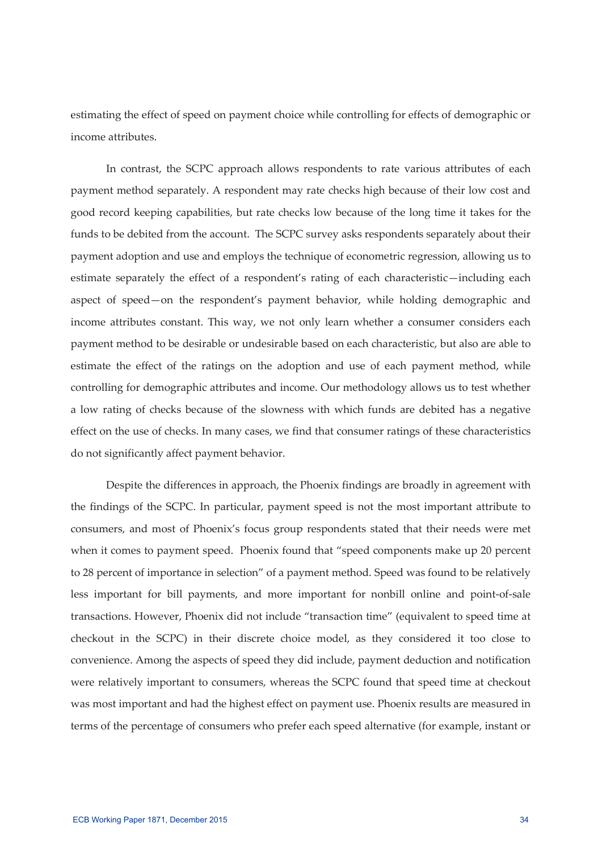estimating the effect of speed on payment choice while controlling for effects of demographic or income attributes.

In contrast, the SCPC approach allows respondents to rate various attributes of each payment method separately. A respondent may rate checks high because of their low cost and good record keeping capabilities, but rate checks low because of the long time it takes for the funds to be debited from the account. The SCPC survey asks respondents separately about their payment adoption and use and employs the technique of econometric regression, allowing us to estimate separately the effect of a respondent's rating of each characteristic—including each aspect of speed—on the respondent's payment behavior, while holding demographic and income attributes constant. This way, we not only learn whether a consumer considers each payment method to be desirable or undesirable based on each characteristic, but also are able to estimate the effect of the ratings on the adoption and use of each payment method, while controlling for demographic attributes and income. Our methodology allows us to test whether a low rating of checks because of the slowness with which funds are debited has a negative effect on the use of checks. In many cases, we find that consumer ratings of these characteristics do not significantly affect payment behavior.

Despite the differences in approach, the Phoenix findings are broadly in agreement with the findings of the SCPC. In particular, payment speed is not the most important attribute to consumers, and most of Phoenix's focus group respondents stated that their needs were met when it comes to payment speed. Phoenix found that "speed components make up 20 percent to 28 percent of importance in selection" of a payment method. Speed was found to be relatively less important for bill payments, and more important for nonbill online and point-of-sale transactions. However, Phoenix did not include "transaction time" (equivalent to speed time at checkout in the SCPC) in their discrete choice model, as they considered it too close to convenience. Among the aspects of speed they did include, payment deduction and notification were relatively important to consumers, whereas the SCPC found that speed time at checkout was most important and had the highest effect on payment use. Phoenix results are measured in terms of the percentage of consumers who prefer each speed alternative (for example, instant or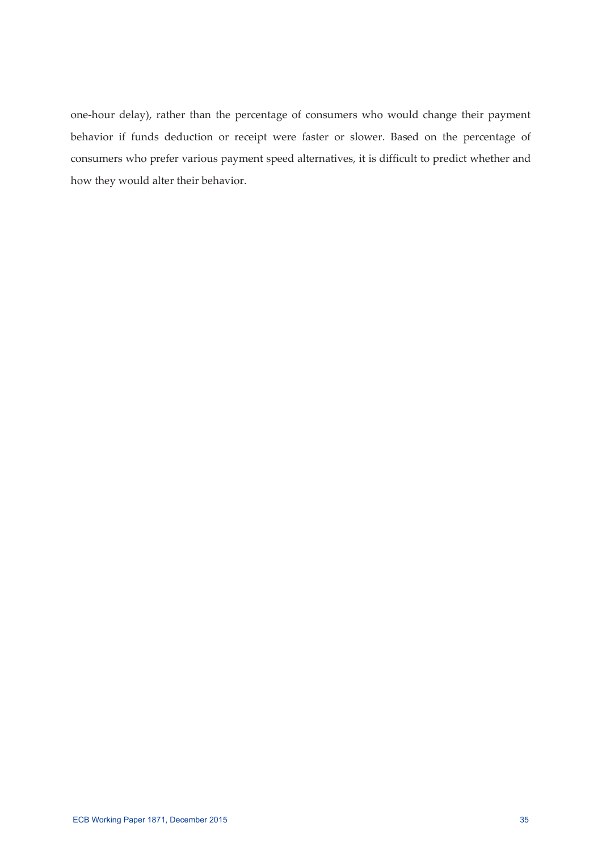one-hour delay), rather than the percentage of consumers who would change their payment behavior if funds deduction or receipt were faster or slower. Based on the percentage of consumers who prefer various payment speed alternatives, it is difficult to predict whether and how they would alter their behavior.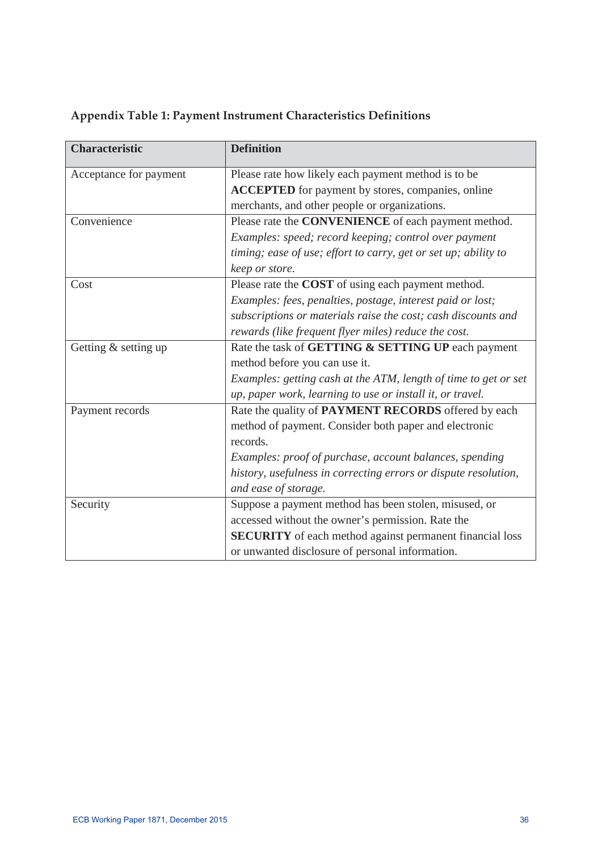| <b>Characteristic</b>  | <b>Definition</b>                                               |
|------------------------|-----------------------------------------------------------------|
| Acceptance for payment | Please rate how likely each payment method is to be             |
|                        | <b>ACCEPTED</b> for payment by stores, companies, online        |
|                        | merchants, and other people or organizations.                   |
| Convenience            | Please rate the CONVENIENCE of each payment method.             |
|                        | Examples: speed; record keeping; control over payment           |
|                        | timing; ease of use; effort to carry, get or set up; ability to |
|                        | keep or store.                                                  |
| Cost                   | Please rate the COST of using each payment method.              |
|                        | Examples: fees, penalties, postage, interest paid or lost;      |
|                        | subscriptions or materials raise the cost; cash discounts and   |
|                        | rewards (like frequent flyer miles) reduce the cost.            |
| Getting & setting up   | Rate the task of GETTING & SETTING UP each payment              |
|                        | method before you can use it.                                   |
|                        | Examples: getting cash at the ATM, length of time to get or set |
|                        | up, paper work, learning to use or install it, or travel.       |
| Payment records        | Rate the quality of <b>PAYMENT RECORDS</b> offered by each      |
|                        | method of payment. Consider both paper and electronic           |
|                        | records.                                                        |
|                        | Examples: proof of purchase, account balances, spending         |
|                        | history, usefulness in correcting errors or dispute resolution, |
|                        | and ease of storage.                                            |
| Security               | Suppose a payment method has been stolen, misused, or           |
|                        | accessed without the owner's permission. Rate the               |
|                        | <b>SECURITY</b> of each method against permanent financial loss |
|                        | or unwanted disclosure of personal information.                 |

# **Appendix Table 1: Payment Instrument Characteristics Definitions**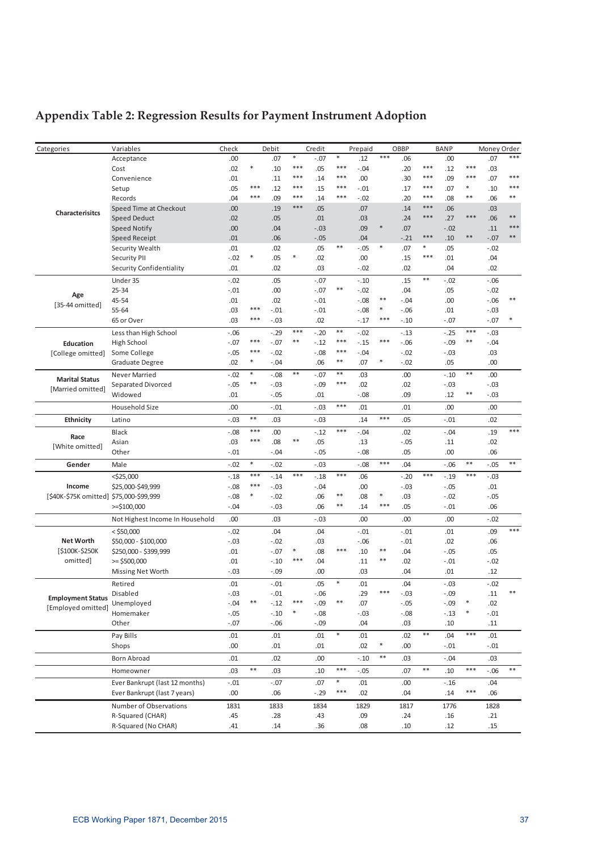# **Appendix Table 2: Regression Results for Payment Instrument Adoption**

| ***<br>***<br>$\ast$<br>$\ast$<br>.00<br>.07<br>.07<br>$-.07$<br>.12<br>.06<br>.00<br>Acceptance<br>$\ast$<br>$***$<br>***<br>$***$<br>***<br>Cost<br>.02<br>.10<br>.05<br>$-.04$<br>.20<br>.12<br>.03<br>$***$<br>***<br>$***$<br>***<br>***<br>.09<br>Convenience<br>.01<br>.14<br>.00<br>.30<br>.07<br>.11<br>$***$<br>$***$<br>*<br>***<br>.15<br>***<br>***<br>.07<br>Setup<br>.05<br>.12<br>$-.01$<br>.17<br>.10<br>$***$<br>***<br>***<br>$***$<br>$**$<br>$\ast\ast$<br>Records<br>.04<br>.09<br>.14<br>$-.02$<br>.20<br>.08<br>.06<br>$***$<br>$***$<br>Speed Time at Checkout<br>.00<br>.19<br>.05<br>.07<br>.06<br>.03<br>.14<br><b>Characteristics</b><br>$***$<br>***<br>$\ast\ast$<br>.02<br>.27<br><b>Speed Deduct</b><br>.05<br>.01<br>.03<br>.24<br>.06<br>***<br>$-.03$<br>.09<br>$\ast$<br><b>Speed Notify</b><br>.00<br>.04<br>$-.02$<br>.07<br>.11<br>$**$<br>$**$<br>$***$<br>.10<br>Speed Receipt<br>.01<br>.06<br>$-.05$<br>.04<br>$-.21$<br>$-.07$<br>$**$<br>$\ast$<br>.02<br>.05<br>$\ast$<br>Security Wealth<br>.01<br>$-.05$<br>.07<br>.05<br>$-.02$<br>$\ast$<br>$\ast$<br>$***$<br>$-.02$<br>.05<br>Security PII<br>.02<br>.00<br>.15<br>.01<br>.04<br>.04<br>Security Confidentiality<br>.01<br>.02<br>.03<br>$-.02$<br>.02<br>.02<br>$\ast\ast$<br>$-.07$<br>$-.02$<br>Under 35<br>$-.02$<br>.05<br>$-.10$<br>.15<br>$-.06$<br>$25 - 34$<br>.00.<br>$-.07$<br>$***$<br>$-.01$<br>$-.02$<br>.04<br>.05<br>$-.02$<br>Age<br>**<br>$**$<br>.02<br>.00<br>45-54<br>.01<br>$-.01$<br>$-.08$<br>$-.04$<br>$-.06$<br>[35-44 omitted]<br>$***$<br>$\ast$<br>.03<br>$-.01$<br>55-64<br>$-.01$<br>$-.08$<br>$-.06$<br>.01<br>$-.03$<br>$***$<br>***<br>$\ast$<br>65 or Over<br>.03<br>$-.03$<br>.02<br>$-.17$<br>$-.10$<br>$-.07$<br>$-.07$<br>$***$<br>***<br>$***$<br>Less than High School<br>$-.29$<br>$-.20$<br>$-.13$<br>$-.25$<br>$-.03$<br>$-.06$<br>$-.02$<br>$***$<br>$**$<br>***<br>***<br>$***$<br>$-.07$<br>$-.12$<br>$-.15$<br>$-.06$<br>$-.09$<br>High School<br>$-.07$<br>$-.04$<br>Education<br>***<br>***<br>Some College<br>$-.05$<br>$-.02$<br>$-.08$<br>$-.04$<br>$-.02$<br>$-.03$<br>.03<br>[College omitted]<br>$\ast$<br>$***$<br>$\ast$<br>.02<br>$-.04$<br>.06<br>.07<br>$-.02$<br>.05<br>.00<br>Graduate Degree<br>$\ast$<br>$\ast\ast$<br>$**$<br>$**$<br>Never Married<br>$-.02$<br>$-.08$<br>$-.07$<br>.03<br>.00<br>$-.10$<br>.00<br><b>Marital Status</b><br>$**$<br>***<br>$-.09$<br>.02<br>.02<br>$-.05$<br>$-.03$<br>$-.03$<br>$-.03$<br>Separated Divorced<br>[Married omitted]<br>$***$<br>.09<br>.12<br>Widowed<br>.01<br>$-.05$<br>.01<br>$-.08$<br>$-.03$<br>***<br>.00<br>$-.01$<br>$-.03$<br>.01<br>.00<br>Household Size<br>.01<br>.00<br>$\ast\ast$<br>***<br>.03<br>.05<br>$-.01$<br>.02<br>Ethnicity<br>Latino<br>$-.03$<br>$-.03$<br>.14<br>***<br>***<br>***<br><b>Black</b><br>$-.08$<br>.00<br>$-.12$<br>$-.04$<br>.02<br>$-.04$<br>.19<br>Race<br>$**$<br>$***$<br>.03<br>.08<br>.05<br>.13<br>$-.05$<br>.02<br>Asian<br>.11<br>[White omitted]<br>.00<br>Other<br>$-.05$<br>$-.08$<br>.05<br>.06<br>$-.01$<br>$-.04$<br>$\ast$<br>***<br>$**$<br>$\ast\ast$<br>Gender<br>Male<br>$-.02$<br>$-.02$<br>$-.03$<br>$-.08$<br>.04<br>$-.06$<br>$-.05$<br>***<br>***<br>***<br>***<br>$***$<br>$<$ \$25,000<br>$-.14$<br>$-.20$<br>$-.19$<br>$-.18$<br>$-.18$<br>.06<br>$-.03$<br>***<br>$-.05$<br>Income<br>\$25,000-\$49,999<br>$-.08$<br>$-.03$<br>$-.04$<br>.00<br>$-.03$<br>.01<br>[\$40K-\$75K omitted] \$75,000-\$99,999<br>$\ast$<br>$***$<br>*<br>$-.02$<br>$-.08$<br>$-.02$<br>.06<br>.08<br>.03<br>$-.05$<br>$**$<br>***<br>$>=$ \$100,000<br>$-.04$<br>$-.03$<br>.06<br>.14<br>.05<br>$-.01$<br>.06<br>.00<br>.03<br>$-.03$<br>.00<br>.00<br>.00<br>$-.02$<br>Not Highest Income In Household<br>***<br>$<$ \$50,000<br>.04<br>$-.02$<br>.04<br>$-.01$<br>$-.01$<br>.01<br>.09<br><b>Net Worth</b><br>\$50,000 - \$100,000<br>$-.03$<br>$-.02$<br>.03<br>$-.01$<br>.02<br>.06<br>$-.06$<br>$\ast$<br>***<br>[\$100K-\$250K<br>.08<br>**<br>\$250,000 - \$399,999<br>.01<br>$-.07$<br>.10<br>.04<br>$-.05$<br>.05<br>$***$<br>$**$<br>omitted]<br>$>=$ \$500,000<br>.01<br>$-.10$<br>.04<br>.11<br>.02<br>$-.01$<br>$-.02$<br>$-.03$<br>$-.09$<br>.00<br>.03<br>.04<br>.01<br>.12<br>Missing Net Worth<br>.05<br>$\ast$<br>.01<br>$-.03$<br>.01<br>$-.01$<br>.04<br>$-.02$<br>Retired<br>$***$<br>$\ast\ast$<br>.03<br>.01<br>.06<br>.29<br>.09<br>Disabled<br>.03<br>.11<br><b>Employment Status</b><br>$***$<br>Unemployed<br>$-.04$<br>**<br>$-.12$<br>***<br>-.09<br>.07<br>$-.05$<br>$-.09$<br>*<br>.02<br>[Employed omitted]<br>Homemaker<br>$-.10$<br>$-.08$<br>$-.05$<br>$-.03$<br>$-.08$<br>$-.13$<br>$-.01$<br>Other<br>$-.07$<br>$-.06$<br>$-.09$<br>.04<br>.03<br>.10<br>.11<br>$\ast\ast$<br>$***$<br>$\ast$<br>Pay Bills<br>.01<br>.01<br>.02<br>.04<br>.01<br>.01<br>.01<br>*<br>Shops<br>.00<br>.01<br>.02<br>.00<br>$-.01$<br>.01<br>$-.01$<br>$***$<br><b>Born Abroad</b><br>.01<br>.02<br>.00<br>$-.10$<br>$-.04$<br>.03<br>.03<br>$\ast\ast$<br>***<br>$\ast\ast$<br>$***$<br>$\ast\ast$<br>.03<br>.07<br>.10<br>$-.06$<br>Homeowner<br>.03<br>.10<br>$-.05$<br>Ever Bankrupt (last 12 months)<br>.07<br>$-.01$<br>$-.07$<br>.01<br>.00<br>.04<br>$-.16$<br>$***$<br>***<br>$-.29$<br>Ever Bankrupt (last 7 years)<br>.00<br>.06<br>.02<br>.04<br>.14<br>.06<br>Number of Observations<br>1831<br>1833<br>1834<br>1829<br>1817<br>1828<br>1776<br>R-Squared (CHAR)<br>.28<br>.45<br>.43<br>.09<br>.24<br>.16<br>.21<br>R-Squared (No CHAR)<br>.41<br>.14<br>.36<br>.08<br>.10<br>.12<br>.15 | Categories | Variables | Check | Debit | Credit | Prepaid | OBBP | <b>BANP</b> | Money Order |  |
|-------------------------------------------------------------------------------------------------------------------------------------------------------------------------------------------------------------------------------------------------------------------------------------------------------------------------------------------------------------------------------------------------------------------------------------------------------------------------------------------------------------------------------------------------------------------------------------------------------------------------------------------------------------------------------------------------------------------------------------------------------------------------------------------------------------------------------------------------------------------------------------------------------------------------------------------------------------------------------------------------------------------------------------------------------------------------------------------------------------------------------------------------------------------------------------------------------------------------------------------------------------------------------------------------------------------------------------------------------------------------------------------------------------------------------------------------------------------------------------------------------------------------------------------------------------------------------------------------------------------------------------------------------------------------------------------------------------------------------------------------------------------------------------------------------------------------------------------------------------------------------------------------------------------------------------------------------------------------------------------------------------------------------------------------------------------------------------------------------------------------------------------------------------------------------------------------------------------------------------------------------------------------------------------------------------------------------------------------------------------------------------------------------------------------------------------------------------------------------------------------------------------------------------------------------------------------------------------------------------------------------------------------------------------------------------------------------------------------------------------------------------------------------------------------------------------------------------------------------------------------------------------------------------------------------------------------------------------------------------------------------------------------------------------------------------------------------------------------------------------------------------------------------------------------------------------------------------------------------------------------------------------------------------------------------------------------------------------------------------------------------------------------------------------------------------------------------------------------------------------------------------------------------------------------------------------------------------------------------------------------------------------------------------------------------------------------------------------------------------------------------------------------------------------------------------------------------------------------------------------------------------------------------------------------------------------------------------------------------------------------------------------------------------------------------------------------------------------------------------------------------------------------------------------------------------------------------------------------------------------------------------------------------------------------------------------------------------------------------------------------------------------------------------------------------------------------------------------------------------------------------------------------------------------------------------------------------------------------------------------------------------------------------------------------------------------------------------------------------------------------------------------------------------------------------------------------------------------------------------------------------------------------------------------------------------------------------------------------------------------------------------------------------------------------------------------------------------------------------------------------------------------------------------------------------------------------------------------------------------------------------------------------------------------------------------------------------------------------------------------------------------------------------------------------------------------------------------------------------------------------------------------------------------------------------------------------------------------------|------------|-----------|-------|-------|--------|---------|------|-------------|-------------|--|
|                                                                                                                                                                                                                                                                                                                                                                                                                                                                                                                                                                                                                                                                                                                                                                                                                                                                                                                                                                                                                                                                                                                                                                                                                                                                                                                                                                                                                                                                                                                                                                                                                                                                                                                                                                                                                                                                                                                                                                                                                                                                                                                                                                                                                                                                                                                                                                                                                                                                                                                                                                                                                                                                                                                                                                                                                                                                                                                                                                                                                                                                                                                                                                                                                                                                                                                                                                                                                                                                                                                                                                                                                                                                                                                                                                                                                                                                                                                                                                                                                                                                                                                                                                                                                                                                                                                                                                                                                                                                                                                                                                                                                                                                                                                                                                                                                                                                                                                                                                                                                                                                                                                                                                                                                                                                                                                                                                                                                                                                                                                                                                                                 |            |           |       |       |        |         |      |             |             |  |
|                                                                                                                                                                                                                                                                                                                                                                                                                                                                                                                                                                                                                                                                                                                                                                                                                                                                                                                                                                                                                                                                                                                                                                                                                                                                                                                                                                                                                                                                                                                                                                                                                                                                                                                                                                                                                                                                                                                                                                                                                                                                                                                                                                                                                                                                                                                                                                                                                                                                                                                                                                                                                                                                                                                                                                                                                                                                                                                                                                                                                                                                                                                                                                                                                                                                                                                                                                                                                                                                                                                                                                                                                                                                                                                                                                                                                                                                                                                                                                                                                                                                                                                                                                                                                                                                                                                                                                                                                                                                                                                                                                                                                                                                                                                                                                                                                                                                                                                                                                                                                                                                                                                                                                                                                                                                                                                                                                                                                                                                                                                                                                                                 |            |           |       |       |        |         |      |             |             |  |
|                                                                                                                                                                                                                                                                                                                                                                                                                                                                                                                                                                                                                                                                                                                                                                                                                                                                                                                                                                                                                                                                                                                                                                                                                                                                                                                                                                                                                                                                                                                                                                                                                                                                                                                                                                                                                                                                                                                                                                                                                                                                                                                                                                                                                                                                                                                                                                                                                                                                                                                                                                                                                                                                                                                                                                                                                                                                                                                                                                                                                                                                                                                                                                                                                                                                                                                                                                                                                                                                                                                                                                                                                                                                                                                                                                                                                                                                                                                                                                                                                                                                                                                                                                                                                                                                                                                                                                                                                                                                                                                                                                                                                                                                                                                                                                                                                                                                                                                                                                                                                                                                                                                                                                                                                                                                                                                                                                                                                                                                                                                                                                                                 |            |           |       |       |        |         |      |             |             |  |
|                                                                                                                                                                                                                                                                                                                                                                                                                                                                                                                                                                                                                                                                                                                                                                                                                                                                                                                                                                                                                                                                                                                                                                                                                                                                                                                                                                                                                                                                                                                                                                                                                                                                                                                                                                                                                                                                                                                                                                                                                                                                                                                                                                                                                                                                                                                                                                                                                                                                                                                                                                                                                                                                                                                                                                                                                                                                                                                                                                                                                                                                                                                                                                                                                                                                                                                                                                                                                                                                                                                                                                                                                                                                                                                                                                                                                                                                                                                                                                                                                                                                                                                                                                                                                                                                                                                                                                                                                                                                                                                                                                                                                                                                                                                                                                                                                                                                                                                                                                                                                                                                                                                                                                                                                                                                                                                                                                                                                                                                                                                                                                                                 |            |           |       |       |        |         |      |             |             |  |
|                                                                                                                                                                                                                                                                                                                                                                                                                                                                                                                                                                                                                                                                                                                                                                                                                                                                                                                                                                                                                                                                                                                                                                                                                                                                                                                                                                                                                                                                                                                                                                                                                                                                                                                                                                                                                                                                                                                                                                                                                                                                                                                                                                                                                                                                                                                                                                                                                                                                                                                                                                                                                                                                                                                                                                                                                                                                                                                                                                                                                                                                                                                                                                                                                                                                                                                                                                                                                                                                                                                                                                                                                                                                                                                                                                                                                                                                                                                                                                                                                                                                                                                                                                                                                                                                                                                                                                                                                                                                                                                                                                                                                                                                                                                                                                                                                                                                                                                                                                                                                                                                                                                                                                                                                                                                                                                                                                                                                                                                                                                                                                                                 |            |           |       |       |        |         |      |             |             |  |
|                                                                                                                                                                                                                                                                                                                                                                                                                                                                                                                                                                                                                                                                                                                                                                                                                                                                                                                                                                                                                                                                                                                                                                                                                                                                                                                                                                                                                                                                                                                                                                                                                                                                                                                                                                                                                                                                                                                                                                                                                                                                                                                                                                                                                                                                                                                                                                                                                                                                                                                                                                                                                                                                                                                                                                                                                                                                                                                                                                                                                                                                                                                                                                                                                                                                                                                                                                                                                                                                                                                                                                                                                                                                                                                                                                                                                                                                                                                                                                                                                                                                                                                                                                                                                                                                                                                                                                                                                                                                                                                                                                                                                                                                                                                                                                                                                                                                                                                                                                                                                                                                                                                                                                                                                                                                                                                                                                                                                                                                                                                                                                                                 |            |           |       |       |        |         |      |             |             |  |
|                                                                                                                                                                                                                                                                                                                                                                                                                                                                                                                                                                                                                                                                                                                                                                                                                                                                                                                                                                                                                                                                                                                                                                                                                                                                                                                                                                                                                                                                                                                                                                                                                                                                                                                                                                                                                                                                                                                                                                                                                                                                                                                                                                                                                                                                                                                                                                                                                                                                                                                                                                                                                                                                                                                                                                                                                                                                                                                                                                                                                                                                                                                                                                                                                                                                                                                                                                                                                                                                                                                                                                                                                                                                                                                                                                                                                                                                                                                                                                                                                                                                                                                                                                                                                                                                                                                                                                                                                                                                                                                                                                                                                                                                                                                                                                                                                                                                                                                                                                                                                                                                                                                                                                                                                                                                                                                                                                                                                                                                                                                                                                                                 |            |           |       |       |        |         |      |             |             |  |
|                                                                                                                                                                                                                                                                                                                                                                                                                                                                                                                                                                                                                                                                                                                                                                                                                                                                                                                                                                                                                                                                                                                                                                                                                                                                                                                                                                                                                                                                                                                                                                                                                                                                                                                                                                                                                                                                                                                                                                                                                                                                                                                                                                                                                                                                                                                                                                                                                                                                                                                                                                                                                                                                                                                                                                                                                                                                                                                                                                                                                                                                                                                                                                                                                                                                                                                                                                                                                                                                                                                                                                                                                                                                                                                                                                                                                                                                                                                                                                                                                                                                                                                                                                                                                                                                                                                                                                                                                                                                                                                                                                                                                                                                                                                                                                                                                                                                                                                                                                                                                                                                                                                                                                                                                                                                                                                                                                                                                                                                                                                                                                                                 |            |           |       |       |        |         |      |             |             |  |
|                                                                                                                                                                                                                                                                                                                                                                                                                                                                                                                                                                                                                                                                                                                                                                                                                                                                                                                                                                                                                                                                                                                                                                                                                                                                                                                                                                                                                                                                                                                                                                                                                                                                                                                                                                                                                                                                                                                                                                                                                                                                                                                                                                                                                                                                                                                                                                                                                                                                                                                                                                                                                                                                                                                                                                                                                                                                                                                                                                                                                                                                                                                                                                                                                                                                                                                                                                                                                                                                                                                                                                                                                                                                                                                                                                                                                                                                                                                                                                                                                                                                                                                                                                                                                                                                                                                                                                                                                                                                                                                                                                                                                                                                                                                                                                                                                                                                                                                                                                                                                                                                                                                                                                                                                                                                                                                                                                                                                                                                                                                                                                                                 |            |           |       |       |        |         |      |             |             |  |
|                                                                                                                                                                                                                                                                                                                                                                                                                                                                                                                                                                                                                                                                                                                                                                                                                                                                                                                                                                                                                                                                                                                                                                                                                                                                                                                                                                                                                                                                                                                                                                                                                                                                                                                                                                                                                                                                                                                                                                                                                                                                                                                                                                                                                                                                                                                                                                                                                                                                                                                                                                                                                                                                                                                                                                                                                                                                                                                                                                                                                                                                                                                                                                                                                                                                                                                                                                                                                                                                                                                                                                                                                                                                                                                                                                                                                                                                                                                                                                                                                                                                                                                                                                                                                                                                                                                                                                                                                                                                                                                                                                                                                                                                                                                                                                                                                                                                                                                                                                                                                                                                                                                                                                                                                                                                                                                                                                                                                                                                                                                                                                                                 |            |           |       |       |        |         |      |             |             |  |
|                                                                                                                                                                                                                                                                                                                                                                                                                                                                                                                                                                                                                                                                                                                                                                                                                                                                                                                                                                                                                                                                                                                                                                                                                                                                                                                                                                                                                                                                                                                                                                                                                                                                                                                                                                                                                                                                                                                                                                                                                                                                                                                                                                                                                                                                                                                                                                                                                                                                                                                                                                                                                                                                                                                                                                                                                                                                                                                                                                                                                                                                                                                                                                                                                                                                                                                                                                                                                                                                                                                                                                                                                                                                                                                                                                                                                                                                                                                                                                                                                                                                                                                                                                                                                                                                                                                                                                                                                                                                                                                                                                                                                                                                                                                                                                                                                                                                                                                                                                                                                                                                                                                                                                                                                                                                                                                                                                                                                                                                                                                                                                                                 |            |           |       |       |        |         |      |             |             |  |
|                                                                                                                                                                                                                                                                                                                                                                                                                                                                                                                                                                                                                                                                                                                                                                                                                                                                                                                                                                                                                                                                                                                                                                                                                                                                                                                                                                                                                                                                                                                                                                                                                                                                                                                                                                                                                                                                                                                                                                                                                                                                                                                                                                                                                                                                                                                                                                                                                                                                                                                                                                                                                                                                                                                                                                                                                                                                                                                                                                                                                                                                                                                                                                                                                                                                                                                                                                                                                                                                                                                                                                                                                                                                                                                                                                                                                                                                                                                                                                                                                                                                                                                                                                                                                                                                                                                                                                                                                                                                                                                                                                                                                                                                                                                                                                                                                                                                                                                                                                                                                                                                                                                                                                                                                                                                                                                                                                                                                                                                                                                                                                                                 |            |           |       |       |        |         |      |             |             |  |
|                                                                                                                                                                                                                                                                                                                                                                                                                                                                                                                                                                                                                                                                                                                                                                                                                                                                                                                                                                                                                                                                                                                                                                                                                                                                                                                                                                                                                                                                                                                                                                                                                                                                                                                                                                                                                                                                                                                                                                                                                                                                                                                                                                                                                                                                                                                                                                                                                                                                                                                                                                                                                                                                                                                                                                                                                                                                                                                                                                                                                                                                                                                                                                                                                                                                                                                                                                                                                                                                                                                                                                                                                                                                                                                                                                                                                                                                                                                                                                                                                                                                                                                                                                                                                                                                                                                                                                                                                                                                                                                                                                                                                                                                                                                                                                                                                                                                                                                                                                                                                                                                                                                                                                                                                                                                                                                                                                                                                                                                                                                                                                                                 |            |           |       |       |        |         |      |             |             |  |
|                                                                                                                                                                                                                                                                                                                                                                                                                                                                                                                                                                                                                                                                                                                                                                                                                                                                                                                                                                                                                                                                                                                                                                                                                                                                                                                                                                                                                                                                                                                                                                                                                                                                                                                                                                                                                                                                                                                                                                                                                                                                                                                                                                                                                                                                                                                                                                                                                                                                                                                                                                                                                                                                                                                                                                                                                                                                                                                                                                                                                                                                                                                                                                                                                                                                                                                                                                                                                                                                                                                                                                                                                                                                                                                                                                                                                                                                                                                                                                                                                                                                                                                                                                                                                                                                                                                                                                                                                                                                                                                                                                                                                                                                                                                                                                                                                                                                                                                                                                                                                                                                                                                                                                                                                                                                                                                                                                                                                                                                                                                                                                                                 |            |           |       |       |        |         |      |             |             |  |
|                                                                                                                                                                                                                                                                                                                                                                                                                                                                                                                                                                                                                                                                                                                                                                                                                                                                                                                                                                                                                                                                                                                                                                                                                                                                                                                                                                                                                                                                                                                                                                                                                                                                                                                                                                                                                                                                                                                                                                                                                                                                                                                                                                                                                                                                                                                                                                                                                                                                                                                                                                                                                                                                                                                                                                                                                                                                                                                                                                                                                                                                                                                                                                                                                                                                                                                                                                                                                                                                                                                                                                                                                                                                                                                                                                                                                                                                                                                                                                                                                                                                                                                                                                                                                                                                                                                                                                                                                                                                                                                                                                                                                                                                                                                                                                                                                                                                                                                                                                                                                                                                                                                                                                                                                                                                                                                                                                                                                                                                                                                                                                                                 |            |           |       |       |        |         |      |             |             |  |
|                                                                                                                                                                                                                                                                                                                                                                                                                                                                                                                                                                                                                                                                                                                                                                                                                                                                                                                                                                                                                                                                                                                                                                                                                                                                                                                                                                                                                                                                                                                                                                                                                                                                                                                                                                                                                                                                                                                                                                                                                                                                                                                                                                                                                                                                                                                                                                                                                                                                                                                                                                                                                                                                                                                                                                                                                                                                                                                                                                                                                                                                                                                                                                                                                                                                                                                                                                                                                                                                                                                                                                                                                                                                                                                                                                                                                                                                                                                                                                                                                                                                                                                                                                                                                                                                                                                                                                                                                                                                                                                                                                                                                                                                                                                                                                                                                                                                                                                                                                                                                                                                                                                                                                                                                                                                                                                                                                                                                                                                                                                                                                                                 |            |           |       |       |        |         |      |             |             |  |
|                                                                                                                                                                                                                                                                                                                                                                                                                                                                                                                                                                                                                                                                                                                                                                                                                                                                                                                                                                                                                                                                                                                                                                                                                                                                                                                                                                                                                                                                                                                                                                                                                                                                                                                                                                                                                                                                                                                                                                                                                                                                                                                                                                                                                                                                                                                                                                                                                                                                                                                                                                                                                                                                                                                                                                                                                                                                                                                                                                                                                                                                                                                                                                                                                                                                                                                                                                                                                                                                                                                                                                                                                                                                                                                                                                                                                                                                                                                                                                                                                                                                                                                                                                                                                                                                                                                                                                                                                                                                                                                                                                                                                                                                                                                                                                                                                                                                                                                                                                                                                                                                                                                                                                                                                                                                                                                                                                                                                                                                                                                                                                                                 |            |           |       |       |        |         |      |             |             |  |
|                                                                                                                                                                                                                                                                                                                                                                                                                                                                                                                                                                                                                                                                                                                                                                                                                                                                                                                                                                                                                                                                                                                                                                                                                                                                                                                                                                                                                                                                                                                                                                                                                                                                                                                                                                                                                                                                                                                                                                                                                                                                                                                                                                                                                                                                                                                                                                                                                                                                                                                                                                                                                                                                                                                                                                                                                                                                                                                                                                                                                                                                                                                                                                                                                                                                                                                                                                                                                                                                                                                                                                                                                                                                                                                                                                                                                                                                                                                                                                                                                                                                                                                                                                                                                                                                                                                                                                                                                                                                                                                                                                                                                                                                                                                                                                                                                                                                                                                                                                                                                                                                                                                                                                                                                                                                                                                                                                                                                                                                                                                                                                                                 |            |           |       |       |        |         |      |             |             |  |
|                                                                                                                                                                                                                                                                                                                                                                                                                                                                                                                                                                                                                                                                                                                                                                                                                                                                                                                                                                                                                                                                                                                                                                                                                                                                                                                                                                                                                                                                                                                                                                                                                                                                                                                                                                                                                                                                                                                                                                                                                                                                                                                                                                                                                                                                                                                                                                                                                                                                                                                                                                                                                                                                                                                                                                                                                                                                                                                                                                                                                                                                                                                                                                                                                                                                                                                                                                                                                                                                                                                                                                                                                                                                                                                                                                                                                                                                                                                                                                                                                                                                                                                                                                                                                                                                                                                                                                                                                                                                                                                                                                                                                                                                                                                                                                                                                                                                                                                                                                                                                                                                                                                                                                                                                                                                                                                                                                                                                                                                                                                                                                                                 |            |           |       |       |        |         |      |             |             |  |
|                                                                                                                                                                                                                                                                                                                                                                                                                                                                                                                                                                                                                                                                                                                                                                                                                                                                                                                                                                                                                                                                                                                                                                                                                                                                                                                                                                                                                                                                                                                                                                                                                                                                                                                                                                                                                                                                                                                                                                                                                                                                                                                                                                                                                                                                                                                                                                                                                                                                                                                                                                                                                                                                                                                                                                                                                                                                                                                                                                                                                                                                                                                                                                                                                                                                                                                                                                                                                                                                                                                                                                                                                                                                                                                                                                                                                                                                                                                                                                                                                                                                                                                                                                                                                                                                                                                                                                                                                                                                                                                                                                                                                                                                                                                                                                                                                                                                                                                                                                                                                                                                                                                                                                                                                                                                                                                                                                                                                                                                                                                                                                                                 |            |           |       |       |        |         |      |             |             |  |
|                                                                                                                                                                                                                                                                                                                                                                                                                                                                                                                                                                                                                                                                                                                                                                                                                                                                                                                                                                                                                                                                                                                                                                                                                                                                                                                                                                                                                                                                                                                                                                                                                                                                                                                                                                                                                                                                                                                                                                                                                                                                                                                                                                                                                                                                                                                                                                                                                                                                                                                                                                                                                                                                                                                                                                                                                                                                                                                                                                                                                                                                                                                                                                                                                                                                                                                                                                                                                                                                                                                                                                                                                                                                                                                                                                                                                                                                                                                                                                                                                                                                                                                                                                                                                                                                                                                                                                                                                                                                                                                                                                                                                                                                                                                                                                                                                                                                                                                                                                                                                                                                                                                                                                                                                                                                                                                                                                                                                                                                                                                                                                                                 |            |           |       |       |        |         |      |             |             |  |
|                                                                                                                                                                                                                                                                                                                                                                                                                                                                                                                                                                                                                                                                                                                                                                                                                                                                                                                                                                                                                                                                                                                                                                                                                                                                                                                                                                                                                                                                                                                                                                                                                                                                                                                                                                                                                                                                                                                                                                                                                                                                                                                                                                                                                                                                                                                                                                                                                                                                                                                                                                                                                                                                                                                                                                                                                                                                                                                                                                                                                                                                                                                                                                                                                                                                                                                                                                                                                                                                                                                                                                                                                                                                                                                                                                                                                                                                                                                                                                                                                                                                                                                                                                                                                                                                                                                                                                                                                                                                                                                                                                                                                                                                                                                                                                                                                                                                                                                                                                                                                                                                                                                                                                                                                                                                                                                                                                                                                                                                                                                                                                                                 |            |           |       |       |        |         |      |             |             |  |
|                                                                                                                                                                                                                                                                                                                                                                                                                                                                                                                                                                                                                                                                                                                                                                                                                                                                                                                                                                                                                                                                                                                                                                                                                                                                                                                                                                                                                                                                                                                                                                                                                                                                                                                                                                                                                                                                                                                                                                                                                                                                                                                                                                                                                                                                                                                                                                                                                                                                                                                                                                                                                                                                                                                                                                                                                                                                                                                                                                                                                                                                                                                                                                                                                                                                                                                                                                                                                                                                                                                                                                                                                                                                                                                                                                                                                                                                                                                                                                                                                                                                                                                                                                                                                                                                                                                                                                                                                                                                                                                                                                                                                                                                                                                                                                                                                                                                                                                                                                                                                                                                                                                                                                                                                                                                                                                                                                                                                                                                                                                                                                                                 |            |           |       |       |        |         |      |             |             |  |
|                                                                                                                                                                                                                                                                                                                                                                                                                                                                                                                                                                                                                                                                                                                                                                                                                                                                                                                                                                                                                                                                                                                                                                                                                                                                                                                                                                                                                                                                                                                                                                                                                                                                                                                                                                                                                                                                                                                                                                                                                                                                                                                                                                                                                                                                                                                                                                                                                                                                                                                                                                                                                                                                                                                                                                                                                                                                                                                                                                                                                                                                                                                                                                                                                                                                                                                                                                                                                                                                                                                                                                                                                                                                                                                                                                                                                                                                                                                                                                                                                                                                                                                                                                                                                                                                                                                                                                                                                                                                                                                                                                                                                                                                                                                                                                                                                                                                                                                                                                                                                                                                                                                                                                                                                                                                                                                                                                                                                                                                                                                                                                                                 |            |           |       |       |        |         |      |             |             |  |
|                                                                                                                                                                                                                                                                                                                                                                                                                                                                                                                                                                                                                                                                                                                                                                                                                                                                                                                                                                                                                                                                                                                                                                                                                                                                                                                                                                                                                                                                                                                                                                                                                                                                                                                                                                                                                                                                                                                                                                                                                                                                                                                                                                                                                                                                                                                                                                                                                                                                                                                                                                                                                                                                                                                                                                                                                                                                                                                                                                                                                                                                                                                                                                                                                                                                                                                                                                                                                                                                                                                                                                                                                                                                                                                                                                                                                                                                                                                                                                                                                                                                                                                                                                                                                                                                                                                                                                                                                                                                                                                                                                                                                                                                                                                                                                                                                                                                                                                                                                                                                                                                                                                                                                                                                                                                                                                                                                                                                                                                                                                                                                                                 |            |           |       |       |        |         |      |             |             |  |
|                                                                                                                                                                                                                                                                                                                                                                                                                                                                                                                                                                                                                                                                                                                                                                                                                                                                                                                                                                                                                                                                                                                                                                                                                                                                                                                                                                                                                                                                                                                                                                                                                                                                                                                                                                                                                                                                                                                                                                                                                                                                                                                                                                                                                                                                                                                                                                                                                                                                                                                                                                                                                                                                                                                                                                                                                                                                                                                                                                                                                                                                                                                                                                                                                                                                                                                                                                                                                                                                                                                                                                                                                                                                                                                                                                                                                                                                                                                                                                                                                                                                                                                                                                                                                                                                                                                                                                                                                                                                                                                                                                                                                                                                                                                                                                                                                                                                                                                                                                                                                                                                                                                                                                                                                                                                                                                                                                                                                                                                                                                                                                                                 |            |           |       |       |        |         |      |             |             |  |
|                                                                                                                                                                                                                                                                                                                                                                                                                                                                                                                                                                                                                                                                                                                                                                                                                                                                                                                                                                                                                                                                                                                                                                                                                                                                                                                                                                                                                                                                                                                                                                                                                                                                                                                                                                                                                                                                                                                                                                                                                                                                                                                                                                                                                                                                                                                                                                                                                                                                                                                                                                                                                                                                                                                                                                                                                                                                                                                                                                                                                                                                                                                                                                                                                                                                                                                                                                                                                                                                                                                                                                                                                                                                                                                                                                                                                                                                                                                                                                                                                                                                                                                                                                                                                                                                                                                                                                                                                                                                                                                                                                                                                                                                                                                                                                                                                                                                                                                                                                                                                                                                                                                                                                                                                                                                                                                                                                                                                                                                                                                                                                                                 |            |           |       |       |        |         |      |             |             |  |
|                                                                                                                                                                                                                                                                                                                                                                                                                                                                                                                                                                                                                                                                                                                                                                                                                                                                                                                                                                                                                                                                                                                                                                                                                                                                                                                                                                                                                                                                                                                                                                                                                                                                                                                                                                                                                                                                                                                                                                                                                                                                                                                                                                                                                                                                                                                                                                                                                                                                                                                                                                                                                                                                                                                                                                                                                                                                                                                                                                                                                                                                                                                                                                                                                                                                                                                                                                                                                                                                                                                                                                                                                                                                                                                                                                                                                                                                                                                                                                                                                                                                                                                                                                                                                                                                                                                                                                                                                                                                                                                                                                                                                                                                                                                                                                                                                                                                                                                                                                                                                                                                                                                                                                                                                                                                                                                                                                                                                                                                                                                                                                                                 |            |           |       |       |        |         |      |             |             |  |
|                                                                                                                                                                                                                                                                                                                                                                                                                                                                                                                                                                                                                                                                                                                                                                                                                                                                                                                                                                                                                                                                                                                                                                                                                                                                                                                                                                                                                                                                                                                                                                                                                                                                                                                                                                                                                                                                                                                                                                                                                                                                                                                                                                                                                                                                                                                                                                                                                                                                                                                                                                                                                                                                                                                                                                                                                                                                                                                                                                                                                                                                                                                                                                                                                                                                                                                                                                                                                                                                                                                                                                                                                                                                                                                                                                                                                                                                                                                                                                                                                                                                                                                                                                                                                                                                                                                                                                                                                                                                                                                                                                                                                                                                                                                                                                                                                                                                                                                                                                                                                                                                                                                                                                                                                                                                                                                                                                                                                                                                                                                                                                                                 |            |           |       |       |        |         |      |             |             |  |
|                                                                                                                                                                                                                                                                                                                                                                                                                                                                                                                                                                                                                                                                                                                                                                                                                                                                                                                                                                                                                                                                                                                                                                                                                                                                                                                                                                                                                                                                                                                                                                                                                                                                                                                                                                                                                                                                                                                                                                                                                                                                                                                                                                                                                                                                                                                                                                                                                                                                                                                                                                                                                                                                                                                                                                                                                                                                                                                                                                                                                                                                                                                                                                                                                                                                                                                                                                                                                                                                                                                                                                                                                                                                                                                                                                                                                                                                                                                                                                                                                                                                                                                                                                                                                                                                                                                                                                                                                                                                                                                                                                                                                                                                                                                                                                                                                                                                                                                                                                                                                                                                                                                                                                                                                                                                                                                                                                                                                                                                                                                                                                                                 |            |           |       |       |        |         |      |             |             |  |
|                                                                                                                                                                                                                                                                                                                                                                                                                                                                                                                                                                                                                                                                                                                                                                                                                                                                                                                                                                                                                                                                                                                                                                                                                                                                                                                                                                                                                                                                                                                                                                                                                                                                                                                                                                                                                                                                                                                                                                                                                                                                                                                                                                                                                                                                                                                                                                                                                                                                                                                                                                                                                                                                                                                                                                                                                                                                                                                                                                                                                                                                                                                                                                                                                                                                                                                                                                                                                                                                                                                                                                                                                                                                                                                                                                                                                                                                                                                                                                                                                                                                                                                                                                                                                                                                                                                                                                                                                                                                                                                                                                                                                                                                                                                                                                                                                                                                                                                                                                                                                                                                                                                                                                                                                                                                                                                                                                                                                                                                                                                                                                                                 |            |           |       |       |        |         |      |             |             |  |
|                                                                                                                                                                                                                                                                                                                                                                                                                                                                                                                                                                                                                                                                                                                                                                                                                                                                                                                                                                                                                                                                                                                                                                                                                                                                                                                                                                                                                                                                                                                                                                                                                                                                                                                                                                                                                                                                                                                                                                                                                                                                                                                                                                                                                                                                                                                                                                                                                                                                                                                                                                                                                                                                                                                                                                                                                                                                                                                                                                                                                                                                                                                                                                                                                                                                                                                                                                                                                                                                                                                                                                                                                                                                                                                                                                                                                                                                                                                                                                                                                                                                                                                                                                                                                                                                                                                                                                                                                                                                                                                                                                                                                                                                                                                                                                                                                                                                                                                                                                                                                                                                                                                                                                                                                                                                                                                                                                                                                                                                                                                                                                                                 |            |           |       |       |        |         |      |             |             |  |
|                                                                                                                                                                                                                                                                                                                                                                                                                                                                                                                                                                                                                                                                                                                                                                                                                                                                                                                                                                                                                                                                                                                                                                                                                                                                                                                                                                                                                                                                                                                                                                                                                                                                                                                                                                                                                                                                                                                                                                                                                                                                                                                                                                                                                                                                                                                                                                                                                                                                                                                                                                                                                                                                                                                                                                                                                                                                                                                                                                                                                                                                                                                                                                                                                                                                                                                                                                                                                                                                                                                                                                                                                                                                                                                                                                                                                                                                                                                                                                                                                                                                                                                                                                                                                                                                                                                                                                                                                                                                                                                                                                                                                                                                                                                                                                                                                                                                                                                                                                                                                                                                                                                                                                                                                                                                                                                                                                                                                                                                                                                                                                                                 |            |           |       |       |        |         |      |             |             |  |
|                                                                                                                                                                                                                                                                                                                                                                                                                                                                                                                                                                                                                                                                                                                                                                                                                                                                                                                                                                                                                                                                                                                                                                                                                                                                                                                                                                                                                                                                                                                                                                                                                                                                                                                                                                                                                                                                                                                                                                                                                                                                                                                                                                                                                                                                                                                                                                                                                                                                                                                                                                                                                                                                                                                                                                                                                                                                                                                                                                                                                                                                                                                                                                                                                                                                                                                                                                                                                                                                                                                                                                                                                                                                                                                                                                                                                                                                                                                                                                                                                                                                                                                                                                                                                                                                                                                                                                                                                                                                                                                                                                                                                                                                                                                                                                                                                                                                                                                                                                                                                                                                                                                                                                                                                                                                                                                                                                                                                                                                                                                                                                                                 |            |           |       |       |        |         |      |             |             |  |
|                                                                                                                                                                                                                                                                                                                                                                                                                                                                                                                                                                                                                                                                                                                                                                                                                                                                                                                                                                                                                                                                                                                                                                                                                                                                                                                                                                                                                                                                                                                                                                                                                                                                                                                                                                                                                                                                                                                                                                                                                                                                                                                                                                                                                                                                                                                                                                                                                                                                                                                                                                                                                                                                                                                                                                                                                                                                                                                                                                                                                                                                                                                                                                                                                                                                                                                                                                                                                                                                                                                                                                                                                                                                                                                                                                                                                                                                                                                                                                                                                                                                                                                                                                                                                                                                                                                                                                                                                                                                                                                                                                                                                                                                                                                                                                                                                                                                                                                                                                                                                                                                                                                                                                                                                                                                                                                                                                                                                                                                                                                                                                                                 |            |           |       |       |        |         |      |             |             |  |
|                                                                                                                                                                                                                                                                                                                                                                                                                                                                                                                                                                                                                                                                                                                                                                                                                                                                                                                                                                                                                                                                                                                                                                                                                                                                                                                                                                                                                                                                                                                                                                                                                                                                                                                                                                                                                                                                                                                                                                                                                                                                                                                                                                                                                                                                                                                                                                                                                                                                                                                                                                                                                                                                                                                                                                                                                                                                                                                                                                                                                                                                                                                                                                                                                                                                                                                                                                                                                                                                                                                                                                                                                                                                                                                                                                                                                                                                                                                                                                                                                                                                                                                                                                                                                                                                                                                                                                                                                                                                                                                                                                                                                                                                                                                                                                                                                                                                                                                                                                                                                                                                                                                                                                                                                                                                                                                                                                                                                                                                                                                                                                                                 |            |           |       |       |        |         |      |             |             |  |
|                                                                                                                                                                                                                                                                                                                                                                                                                                                                                                                                                                                                                                                                                                                                                                                                                                                                                                                                                                                                                                                                                                                                                                                                                                                                                                                                                                                                                                                                                                                                                                                                                                                                                                                                                                                                                                                                                                                                                                                                                                                                                                                                                                                                                                                                                                                                                                                                                                                                                                                                                                                                                                                                                                                                                                                                                                                                                                                                                                                                                                                                                                                                                                                                                                                                                                                                                                                                                                                                                                                                                                                                                                                                                                                                                                                                                                                                                                                                                                                                                                                                                                                                                                                                                                                                                                                                                                                                                                                                                                                                                                                                                                                                                                                                                                                                                                                                                                                                                                                                                                                                                                                                                                                                                                                                                                                                                                                                                                                                                                                                                                                                 |            |           |       |       |        |         |      |             |             |  |
|                                                                                                                                                                                                                                                                                                                                                                                                                                                                                                                                                                                                                                                                                                                                                                                                                                                                                                                                                                                                                                                                                                                                                                                                                                                                                                                                                                                                                                                                                                                                                                                                                                                                                                                                                                                                                                                                                                                                                                                                                                                                                                                                                                                                                                                                                                                                                                                                                                                                                                                                                                                                                                                                                                                                                                                                                                                                                                                                                                                                                                                                                                                                                                                                                                                                                                                                                                                                                                                                                                                                                                                                                                                                                                                                                                                                                                                                                                                                                                                                                                                                                                                                                                                                                                                                                                                                                                                                                                                                                                                                                                                                                                                                                                                                                                                                                                                                                                                                                                                                                                                                                                                                                                                                                                                                                                                                                                                                                                                                                                                                                                                                 |            |           |       |       |        |         |      |             |             |  |
|                                                                                                                                                                                                                                                                                                                                                                                                                                                                                                                                                                                                                                                                                                                                                                                                                                                                                                                                                                                                                                                                                                                                                                                                                                                                                                                                                                                                                                                                                                                                                                                                                                                                                                                                                                                                                                                                                                                                                                                                                                                                                                                                                                                                                                                                                                                                                                                                                                                                                                                                                                                                                                                                                                                                                                                                                                                                                                                                                                                                                                                                                                                                                                                                                                                                                                                                                                                                                                                                                                                                                                                                                                                                                                                                                                                                                                                                                                                                                                                                                                                                                                                                                                                                                                                                                                                                                                                                                                                                                                                                                                                                                                                                                                                                                                                                                                                                                                                                                                                                                                                                                                                                                                                                                                                                                                                                                                                                                                                                                                                                                                                                 |            |           |       |       |        |         |      |             |             |  |
|                                                                                                                                                                                                                                                                                                                                                                                                                                                                                                                                                                                                                                                                                                                                                                                                                                                                                                                                                                                                                                                                                                                                                                                                                                                                                                                                                                                                                                                                                                                                                                                                                                                                                                                                                                                                                                                                                                                                                                                                                                                                                                                                                                                                                                                                                                                                                                                                                                                                                                                                                                                                                                                                                                                                                                                                                                                                                                                                                                                                                                                                                                                                                                                                                                                                                                                                                                                                                                                                                                                                                                                                                                                                                                                                                                                                                                                                                                                                                                                                                                                                                                                                                                                                                                                                                                                                                                                                                                                                                                                                                                                                                                                                                                                                                                                                                                                                                                                                                                                                                                                                                                                                                                                                                                                                                                                                                                                                                                                                                                                                                                                                 |            |           |       |       |        |         |      |             |             |  |
|                                                                                                                                                                                                                                                                                                                                                                                                                                                                                                                                                                                                                                                                                                                                                                                                                                                                                                                                                                                                                                                                                                                                                                                                                                                                                                                                                                                                                                                                                                                                                                                                                                                                                                                                                                                                                                                                                                                                                                                                                                                                                                                                                                                                                                                                                                                                                                                                                                                                                                                                                                                                                                                                                                                                                                                                                                                                                                                                                                                                                                                                                                                                                                                                                                                                                                                                                                                                                                                                                                                                                                                                                                                                                                                                                                                                                                                                                                                                                                                                                                                                                                                                                                                                                                                                                                                                                                                                                                                                                                                                                                                                                                                                                                                                                                                                                                                                                                                                                                                                                                                                                                                                                                                                                                                                                                                                                                                                                                                                                                                                                                                                 |            |           |       |       |        |         |      |             |             |  |
|                                                                                                                                                                                                                                                                                                                                                                                                                                                                                                                                                                                                                                                                                                                                                                                                                                                                                                                                                                                                                                                                                                                                                                                                                                                                                                                                                                                                                                                                                                                                                                                                                                                                                                                                                                                                                                                                                                                                                                                                                                                                                                                                                                                                                                                                                                                                                                                                                                                                                                                                                                                                                                                                                                                                                                                                                                                                                                                                                                                                                                                                                                                                                                                                                                                                                                                                                                                                                                                                                                                                                                                                                                                                                                                                                                                                                                                                                                                                                                                                                                                                                                                                                                                                                                                                                                                                                                                                                                                                                                                                                                                                                                                                                                                                                                                                                                                                                                                                                                                                                                                                                                                                                                                                                                                                                                                                                                                                                                                                                                                                                                                                 |            |           |       |       |        |         |      |             |             |  |
|                                                                                                                                                                                                                                                                                                                                                                                                                                                                                                                                                                                                                                                                                                                                                                                                                                                                                                                                                                                                                                                                                                                                                                                                                                                                                                                                                                                                                                                                                                                                                                                                                                                                                                                                                                                                                                                                                                                                                                                                                                                                                                                                                                                                                                                                                                                                                                                                                                                                                                                                                                                                                                                                                                                                                                                                                                                                                                                                                                                                                                                                                                                                                                                                                                                                                                                                                                                                                                                                                                                                                                                                                                                                                                                                                                                                                                                                                                                                                                                                                                                                                                                                                                                                                                                                                                                                                                                                                                                                                                                                                                                                                                                                                                                                                                                                                                                                                                                                                                                                                                                                                                                                                                                                                                                                                                                                                                                                                                                                                                                                                                                                 |            |           |       |       |        |         |      |             |             |  |
|                                                                                                                                                                                                                                                                                                                                                                                                                                                                                                                                                                                                                                                                                                                                                                                                                                                                                                                                                                                                                                                                                                                                                                                                                                                                                                                                                                                                                                                                                                                                                                                                                                                                                                                                                                                                                                                                                                                                                                                                                                                                                                                                                                                                                                                                                                                                                                                                                                                                                                                                                                                                                                                                                                                                                                                                                                                                                                                                                                                                                                                                                                                                                                                                                                                                                                                                                                                                                                                                                                                                                                                                                                                                                                                                                                                                                                                                                                                                                                                                                                                                                                                                                                                                                                                                                                                                                                                                                                                                                                                                                                                                                                                                                                                                                                                                                                                                                                                                                                                                                                                                                                                                                                                                                                                                                                                                                                                                                                                                                                                                                                                                 |            |           |       |       |        |         |      |             |             |  |
|                                                                                                                                                                                                                                                                                                                                                                                                                                                                                                                                                                                                                                                                                                                                                                                                                                                                                                                                                                                                                                                                                                                                                                                                                                                                                                                                                                                                                                                                                                                                                                                                                                                                                                                                                                                                                                                                                                                                                                                                                                                                                                                                                                                                                                                                                                                                                                                                                                                                                                                                                                                                                                                                                                                                                                                                                                                                                                                                                                                                                                                                                                                                                                                                                                                                                                                                                                                                                                                                                                                                                                                                                                                                                                                                                                                                                                                                                                                                                                                                                                                                                                                                                                                                                                                                                                                                                                                                                                                                                                                                                                                                                                                                                                                                                                                                                                                                                                                                                                                                                                                                                                                                                                                                                                                                                                                                                                                                                                                                                                                                                                                                 |            |           |       |       |        |         |      |             |             |  |
|                                                                                                                                                                                                                                                                                                                                                                                                                                                                                                                                                                                                                                                                                                                                                                                                                                                                                                                                                                                                                                                                                                                                                                                                                                                                                                                                                                                                                                                                                                                                                                                                                                                                                                                                                                                                                                                                                                                                                                                                                                                                                                                                                                                                                                                                                                                                                                                                                                                                                                                                                                                                                                                                                                                                                                                                                                                                                                                                                                                                                                                                                                                                                                                                                                                                                                                                                                                                                                                                                                                                                                                                                                                                                                                                                                                                                                                                                                                                                                                                                                                                                                                                                                                                                                                                                                                                                                                                                                                                                                                                                                                                                                                                                                                                                                                                                                                                                                                                                                                                                                                                                                                                                                                                                                                                                                                                                                                                                                                                                                                                                                                                 |            |           |       |       |        |         |      |             |             |  |
|                                                                                                                                                                                                                                                                                                                                                                                                                                                                                                                                                                                                                                                                                                                                                                                                                                                                                                                                                                                                                                                                                                                                                                                                                                                                                                                                                                                                                                                                                                                                                                                                                                                                                                                                                                                                                                                                                                                                                                                                                                                                                                                                                                                                                                                                                                                                                                                                                                                                                                                                                                                                                                                                                                                                                                                                                                                                                                                                                                                                                                                                                                                                                                                                                                                                                                                                                                                                                                                                                                                                                                                                                                                                                                                                                                                                                                                                                                                                                                                                                                                                                                                                                                                                                                                                                                                                                                                                                                                                                                                                                                                                                                                                                                                                                                                                                                                                                                                                                                                                                                                                                                                                                                                                                                                                                                                                                                                                                                                                                                                                                                                                 |            |           |       |       |        |         |      |             |             |  |
|                                                                                                                                                                                                                                                                                                                                                                                                                                                                                                                                                                                                                                                                                                                                                                                                                                                                                                                                                                                                                                                                                                                                                                                                                                                                                                                                                                                                                                                                                                                                                                                                                                                                                                                                                                                                                                                                                                                                                                                                                                                                                                                                                                                                                                                                                                                                                                                                                                                                                                                                                                                                                                                                                                                                                                                                                                                                                                                                                                                                                                                                                                                                                                                                                                                                                                                                                                                                                                                                                                                                                                                                                                                                                                                                                                                                                                                                                                                                                                                                                                                                                                                                                                                                                                                                                                                                                                                                                                                                                                                                                                                                                                                                                                                                                                                                                                                                                                                                                                                                                                                                                                                                                                                                                                                                                                                                                                                                                                                                                                                                                                                                 |            |           |       |       |        |         |      |             |             |  |
|                                                                                                                                                                                                                                                                                                                                                                                                                                                                                                                                                                                                                                                                                                                                                                                                                                                                                                                                                                                                                                                                                                                                                                                                                                                                                                                                                                                                                                                                                                                                                                                                                                                                                                                                                                                                                                                                                                                                                                                                                                                                                                                                                                                                                                                                                                                                                                                                                                                                                                                                                                                                                                                                                                                                                                                                                                                                                                                                                                                                                                                                                                                                                                                                                                                                                                                                                                                                                                                                                                                                                                                                                                                                                                                                                                                                                                                                                                                                                                                                                                                                                                                                                                                                                                                                                                                                                                                                                                                                                                                                                                                                                                                                                                                                                                                                                                                                                                                                                                                                                                                                                                                                                                                                                                                                                                                                                                                                                                                                                                                                                                                                 |            |           |       |       |        |         |      |             |             |  |
|                                                                                                                                                                                                                                                                                                                                                                                                                                                                                                                                                                                                                                                                                                                                                                                                                                                                                                                                                                                                                                                                                                                                                                                                                                                                                                                                                                                                                                                                                                                                                                                                                                                                                                                                                                                                                                                                                                                                                                                                                                                                                                                                                                                                                                                                                                                                                                                                                                                                                                                                                                                                                                                                                                                                                                                                                                                                                                                                                                                                                                                                                                                                                                                                                                                                                                                                                                                                                                                                                                                                                                                                                                                                                                                                                                                                                                                                                                                                                                                                                                                                                                                                                                                                                                                                                                                                                                                                                                                                                                                                                                                                                                                                                                                                                                                                                                                                                                                                                                                                                                                                                                                                                                                                                                                                                                                                                                                                                                                                                                                                                                                                 |            |           |       |       |        |         |      |             |             |  |
|                                                                                                                                                                                                                                                                                                                                                                                                                                                                                                                                                                                                                                                                                                                                                                                                                                                                                                                                                                                                                                                                                                                                                                                                                                                                                                                                                                                                                                                                                                                                                                                                                                                                                                                                                                                                                                                                                                                                                                                                                                                                                                                                                                                                                                                                                                                                                                                                                                                                                                                                                                                                                                                                                                                                                                                                                                                                                                                                                                                                                                                                                                                                                                                                                                                                                                                                                                                                                                                                                                                                                                                                                                                                                                                                                                                                                                                                                                                                                                                                                                                                                                                                                                                                                                                                                                                                                                                                                                                                                                                                                                                                                                                                                                                                                                                                                                                                                                                                                                                                                                                                                                                                                                                                                                                                                                                                                                                                                                                                                                                                                                                                 |            |           |       |       |        |         |      |             |             |  |
|                                                                                                                                                                                                                                                                                                                                                                                                                                                                                                                                                                                                                                                                                                                                                                                                                                                                                                                                                                                                                                                                                                                                                                                                                                                                                                                                                                                                                                                                                                                                                                                                                                                                                                                                                                                                                                                                                                                                                                                                                                                                                                                                                                                                                                                                                                                                                                                                                                                                                                                                                                                                                                                                                                                                                                                                                                                                                                                                                                                                                                                                                                                                                                                                                                                                                                                                                                                                                                                                                                                                                                                                                                                                                                                                                                                                                                                                                                                                                                                                                                                                                                                                                                                                                                                                                                                                                                                                                                                                                                                                                                                                                                                                                                                                                                                                                                                                                                                                                                                                                                                                                                                                                                                                                                                                                                                                                                                                                                                                                                                                                                                                 |            |           |       |       |        |         |      |             |             |  |
|                                                                                                                                                                                                                                                                                                                                                                                                                                                                                                                                                                                                                                                                                                                                                                                                                                                                                                                                                                                                                                                                                                                                                                                                                                                                                                                                                                                                                                                                                                                                                                                                                                                                                                                                                                                                                                                                                                                                                                                                                                                                                                                                                                                                                                                                                                                                                                                                                                                                                                                                                                                                                                                                                                                                                                                                                                                                                                                                                                                                                                                                                                                                                                                                                                                                                                                                                                                                                                                                                                                                                                                                                                                                                                                                                                                                                                                                                                                                                                                                                                                                                                                                                                                                                                                                                                                                                                                                                                                                                                                                                                                                                                                                                                                                                                                                                                                                                                                                                                                                                                                                                                                                                                                                                                                                                                                                                                                                                                                                                                                                                                                                 |            |           |       |       |        |         |      |             |             |  |
|                                                                                                                                                                                                                                                                                                                                                                                                                                                                                                                                                                                                                                                                                                                                                                                                                                                                                                                                                                                                                                                                                                                                                                                                                                                                                                                                                                                                                                                                                                                                                                                                                                                                                                                                                                                                                                                                                                                                                                                                                                                                                                                                                                                                                                                                                                                                                                                                                                                                                                                                                                                                                                                                                                                                                                                                                                                                                                                                                                                                                                                                                                                                                                                                                                                                                                                                                                                                                                                                                                                                                                                                                                                                                                                                                                                                                                                                                                                                                                                                                                                                                                                                                                                                                                                                                                                                                                                                                                                                                                                                                                                                                                                                                                                                                                                                                                                                                                                                                                                                                                                                                                                                                                                                                                                                                                                                                                                                                                                                                                                                                                                                 |            |           |       |       |        |         |      |             |             |  |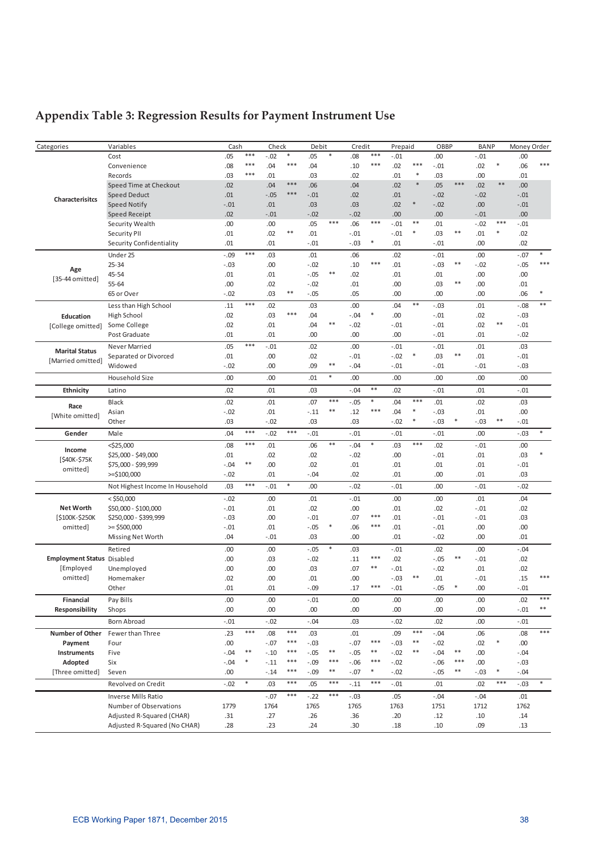# **Appendix Table 3: Regression Results for Payment Instrument Use**

| Categories                 | Variables                       | Cash   |        | Check  |        | Debit  |        | Credit |        | Prepaid |            | OBBP   |            | <b>BANP</b> |        | Money Order |            |
|----------------------------|---------------------------------|--------|--------|--------|--------|--------|--------|--------|--------|---------|------------|--------|------------|-------------|--------|-------------|------------|
|                            | Cost                            | .05    | $***$  | $-.02$ | $\ast$ | .05    | $\ast$ | .08    | ***    | $-.01$  |            | .00    |            | $-.01$      |        | .00         |            |
|                            | Convenience                     | .08    | $***$  | .04    | ***    | .04    |        | .10    | ***    | .02     | $***$      | $-.01$ |            | .02         | $\ast$ | .06         | ***        |
|                            | Records                         | .03    | $***$  | .01    |        | .03    |        | .02    |        | .01     | $\ast$     | .03    |            | .00         |        | .01         |            |
|                            | Speed Time at Checkout          | .02    |        | .04    | ***    | .06    |        | .04    |        | .02     | $\ast$     | .05    | $***$      | .02         | $**$   | .00         |            |
|                            | <b>Speed Deduct</b>             | .01    |        | $-.05$ | ***    | $-.01$ |        | .02    |        | .01     |            | $-.02$ |            | $-.02$      |        | $-.01$      |            |
| Characteristics            | <b>Speed Notify</b>             | $-.01$ |        | .01    |        | .03    |        | .03    |        | .02     | $\ast$     | $-.02$ |            | .00.        |        | $-.01$      |            |
|                            | Speed Receipt                   | .02    |        | $-.01$ |        | $-.02$ |        | $-.02$ |        | .00     |            | .00    |            | $-.01$      |        | .00         |            |
|                            | Security Wealth                 | .00    |        | .00    |        | .05    | $***$  | .06    | ***    | $-.01$  | $***$      | .01    |            | $-.02$      | $***$  | $-.01$      |            |
|                            | <b>Security PII</b>             | .01    |        | .02    | $***$  | .01    |        | $-.01$ |        | $-.01$  | $\ast$     | .03    | $***$      | .01         | $\ast$ | .02         |            |
|                            | Security Confidentiality        | .01    |        | .01    |        | $-.01$ |        | $-.03$ | $\ast$ | .01     |            | $-.01$ |            | .00         |        | .02         |            |
|                            | Under 25                        | $-.09$ | $***$  | .03    |        | .01    |        | .06    |        | .02     |            | $-.01$ |            | .00         |        | $-.07$      | $\ast$     |
|                            | $25 - 34$                       | $-.03$ |        | .00    |        | $-.02$ |        | .10    | ***    | .01     |            | $-.03$ | $***$      | $-.02$      |        | $-.05$      | ***        |
| Age                        | 45-54                           | .01    |        | .01    |        | $-.05$ | $***$  | .02    |        | .01     |            | .01    |            | .00         |        | .00         |            |
| [35-44 omitted]            | $55 - 64$                       | .00    |        | .02    |        | $-.02$ |        | .01    |        | .00     |            | .03    | $***$      | .00         |        | .01         |            |
|                            | 65 or Over                      | $-.02$ |        | .03    | $**$   | $-.05$ |        | .05    |        | .00     |            | .00    |            | .00         |        | .06         | $\ast$     |
|                            |                                 |        |        |        |        |        |        |        |        |         |            |        |            |             |        |             | $***$      |
|                            | Less than High School           | .11    | ***    | .02    |        | .03    |        | .00    |        | .04     | $\ast\ast$ | $-.03$ |            | .01         |        | $-0.08$     |            |
| Education                  | High School                     | .02    |        | .03    | ***    | .04    |        | $-.04$ | $\ast$ | .00     |            | $-.01$ |            | .02         |        | $-.03$      |            |
| [College omitted]          | Some College                    | .02    |        | .01    |        | .04    | $***$  | $-.02$ |        | $-.01$  |            | $-.01$ |            | .02         | $***$  | $-.01$      |            |
|                            | Post Graduate                   | .01    |        | .01    |        | .00    |        | .00    |        | .00     |            | $-.01$ |            | .01         |        | $-.02$      |            |
| <b>Marital Status</b>      | Never Married                   | .05    | $***$  | $-.01$ |        | .02    |        | .00    |        | $-.01$  |            | $-.01$ |            | .01         |        | .03         |            |
| [Married omitted]          | Separated or Divorced           | .01    |        | .00    |        | .02    |        | $-.01$ |        | $-.02$  |            | .03    | $***$      | .01         |        | $-.01$      |            |
|                            | Widowed                         | $-.02$ |        | .00    |        | .09    | $***$  | $-.04$ |        | $-.01$  |            | $-.01$ |            | $-.01$      |        | $-.03$      |            |
|                            | Household Size                  | .00    |        | .00    |        | .01    | $\ast$ | .00    |        | .00     |            | .00    |            | .00         |        | .00         |            |
| Ethnicity                  | Latino                          | .02    |        | .01    |        | .03    |        | $-.04$ | $**$   | .02     |            | $-.01$ |            | .01         |        | $-.01$      |            |
|                            | <b>Black</b>                    | .02    |        | .01    |        | .07    | $***$  | $-.05$ | $\ast$ | .04     | $***$      | .01    |            | .02         |        | .03         |            |
| Race                       | Asian                           | $-.02$ |        | .01    |        | $-.11$ | $***$  | .12    | ***    | .04     | $\ast$     | $-.03$ |            | .01         |        | .00         |            |
| [White omitted]            | Other                           | .03    |        | $-.02$ |        | .03    |        | .03    |        | $-.02$  | $\ast$     | $-.03$ | $\ast$     | $-.03$      | $***$  | $-.01$      |            |
|                            |                                 |        |        |        |        |        |        |        |        |         |            |        |            |             |        |             |            |
| Gender                     | Male                            | .04    | ***    | $-.02$ | ***    | $-.01$ |        | $-.01$ |        | $-.01$  |            | $-.01$ |            | .00         |        | $-.03$      | $\ast$     |
| Income                     | $<$ \$25,000                    | .08    | ***    | .01    |        | .06    | **     | $-.04$ | $\ast$ | .03     | $***$      | .02    |            | $-.01$      |        | .00.        |            |
| [\$40K-\$75K               | \$25,000 - \$49,000             | .01    |        | .02    |        | .02    |        | $-.02$ |        | .00     |            | $-.01$ |            | .01         |        | .03         | $\ast$     |
| omitted]                   | \$75,000 - \$99,999             | $-.04$ | $***$  | .00    |        | .02    |        | .01    |        | .01     |            | .01    |            | .01         |        | $-.01$      |            |
|                            | $>=$ \$100,000                  | $-.02$ |        | .01    |        | $-.04$ |        | .02    |        | .01     |            | .00    |            | .01         |        | .03         |            |
|                            | Not Highest Income In Household | .03    | $***$  | $-.01$ | $\ast$ | .00    |        | $-.02$ |        | $-.01$  |            | .00    |            | $-.01$      |        | $-.02$      |            |
|                            | $<$ \$50,000                    | $-.02$ |        | .00    |        | .01    |        | $-.01$ |        | .00     |            | .00    |            | .01         |        | .04         |            |
| <b>Net Worth</b>           | \$50,000 - \$100,000            | $-.01$ |        | .01    |        | .02    |        | .00    |        | .01     |            | .02    |            | $-.01$      |        | .02         |            |
| [\$100K-\$250K             | \$250,000 - \$399,999           | $-.03$ |        | .00    |        | $-.01$ |        | .07    | ***    | .01     |            | $-.01$ |            | $-.01$      |        | .03         |            |
| omitted]                   | $>=$ \$500,000                  | $-.01$ |        | .01    |        | $-.05$ | *      | .06    | ***    | .01     |            | $-.01$ |            | .00         |        | .00         |            |
|                            | Missing Net Worth               | .04    |        | $-.01$ |        | .03    |        | .00    |        | .01     |            | $-.02$ |            | .00         |        | .01         |            |
|                            | Retired                         | .00    |        | .00    |        | $-.05$ | $\ast$ | .03    |        | $-.01$  |            | .02    |            | .00         |        | $-.04$      |            |
| Employment Status Disabled |                                 | .00    |        | .03    |        | $-.02$ |        | .11    | ***    | .02     |            | $-.05$ | $***$      | $-.01$      |        | .02         |            |
| [Employed                  | Unemployed                      | .00    |        | .00    |        | .03    |        | .07    | $***$  | $-.01$  |            | $-.02$ |            | .01         |        | .02         |            |
| omitted]                   | Homemaker                       | .02    |        | .00    |        | .01    |        | .00    |        | $-.03$  | $***$      | .01    |            | $-.01$      |        | .15         | ***        |
|                            | Other                           | .01    |        | .01    |        | $-.09$ |        | .17    | ***    | $-.01$  |            | $-.05$ | $\ast$     | .00         |        | $-.01$      |            |
|                            |                                 |        |        |        |        |        |        |        |        |         |            |        |            |             |        |             | $***$      |
| Financial                  | Pay Bills                       | .00.   |        | .00    |        | $-.01$ |        | .00    |        | .00     |            | .00    |            | .00         |        | .02         | $\ast\ast$ |
| Responsibility             | Shops                           | .00    |        | .00    |        | .00.   |        | .00.   |        | .00     |            | .00    |            | .00         |        | $-.01$      |            |
|                            | Born Abroad                     | $-.01$ |        | $-.02$ |        | $-.04$ |        | .03    |        | $-.02$  |            | .02    |            | .00         |        | $-.01$      |            |
| Number of Other            | Fewer than Three                | .23    | $***$  | .08    | ***    | .03    |        | .01    |        | .09     | $***$      | $-.04$ |            | .06         |        | .08         | ***        |
| Payment                    | Four                            | .00    |        | $-.07$ | ***    | $-.03$ |        | $-.07$ | ***    | $-.03$  | $\ast\ast$ | $-.02$ |            | .02         | $\ast$ | .00         |            |
| Instruments                | Five                            | $-.04$ | $***$  | $-.10$ | $***$  | $-.05$ | $***$  | $-.05$ | $***$  | $-.02$  | $\ast\ast$ | $-.04$ | $\ast\ast$ | .00         |        | $-.04$      |            |
| Adopted                    | Six                             | $-.04$ | $\ast$ | $-.11$ | ***    | $-.09$ | ***    | $-.06$ | $***$  | $-.02$  |            | $-.06$ | $***$      | .00         |        | $-.03$      |            |
| [Three omitted]            | Seven                           | .00.   |        | $-.14$ | ***    | $-.09$ | **     | $-.07$ | $\ast$ | $-.02$  |            | $-.05$ | $\ast\ast$ | $-.03$      | $\ast$ | -.04        |            |
|                            | Revolved on Credit              | $-.02$ | $\ast$ | .03    | $***$  | .05    | ***    | $-.11$ | ***    | $-.01$  |            | .01    |            | .02         | $***$  | $-.03$      |            |
|                            | <b>Inverse Mills Ratio</b>      |        |        | $-.07$ | $***$  | $-.22$ | $***$  | $-.03$ |        | .05     |            | $-.04$ |            | $-.04$      |        | .01         |            |
|                            | Number of Observations          | 1779   |        | 1764   |        | 1765   |        | 1765   |        | 1763    |            | 1751   |            | 1712        |        | 1762        |            |
|                            | Adjusted R-Squared (CHAR)       | .31    |        | .27    |        | .26    |        | .36    |        | .20     |            | .12    |            | .10         |        | .14         |            |
|                            | Adjusted R-Squared (No CHAR)    | .28    |        | .23    |        | .24    |        | .30    |        | .18     |            | .10    |            | .09         |        | .13         |            |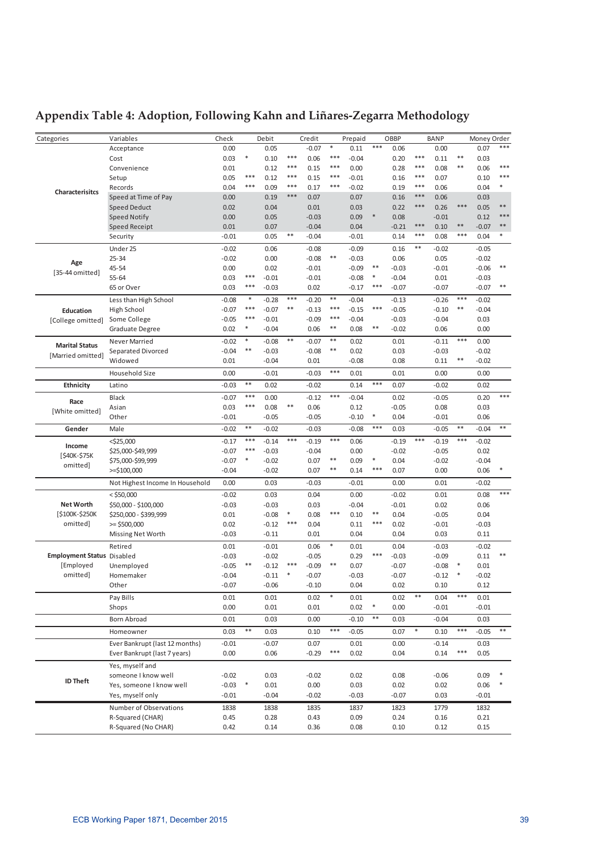# **Appendix Table 4: Adoption, Following Kahn and Liñares-Zegarra Methodology**

| Categories                        | Variables                       | Check   |        | Debit   |            | Credit  |            | Prepaid |        | OBBP    |            | <b>BANP</b> |            | Money Order |        |
|-----------------------------------|---------------------------------|---------|--------|---------|------------|---------|------------|---------|--------|---------|------------|-------------|------------|-------------|--------|
|                                   | Acceptance                      | 0.00    |        | 0.05    |            | $-0.07$ | $\ast$     | 0.11    | $***$  | 0.06    |            | 0.00        |            | 0.07        | ***    |
|                                   | Cost                            | 0.03    | $\ast$ | 0.10    | $***$      | 0.06    | $***$      | $-0.04$ |        | 0.20    | $***$      | 0.11        | $\ast\ast$ | 0.03        |        |
|                                   | Convenience                     | 0.01    |        | 0.12    | ***        | 0.15    | ***        | 0.00    |        | 0.28    | $***$      | 0.08        | $***$      | 0.06        | ***    |
|                                   | Setup                           | 0.05    | $***$  | 0.12    | ***        | 0.15    | $***$      | $-0.01$ |        | 0.16    | ***        | 0.07        |            | 0.10        | ***    |
|                                   | Records                         | 0.04    | $***$  | 0.09    | ***        | 0.17    | ***        | $-0.02$ |        | 0.19    | ***        | 0.06        |            | 0.04        | $\ast$ |
| <b>Characteristics</b>            | Speed at Time of Pay            | 0.00    |        | 0.19    | ***        | 0.07    |            | 0.07    |        | 0.16    | $***$      | 0.06        |            | 0.03        |        |
|                                   | <b>Speed Deduct</b>             | 0.02    |        | 0.04    |            | 0.01    |            | 0.03    |        | 0.22    | ***        | 0.26        | ***        | 0.05        | $***$  |
|                                   | <b>Speed Notify</b>             | 0.00    |        | 0.05    |            | $-0.03$ |            | 0.09    | $\ast$ | 0.08    |            | $-0.01$     |            | 0.12        | ***    |
|                                   | <b>Speed Receipt</b>            | 0.01    |        | 0.07    |            | $-0.04$ |            | 0.04    |        | $-0.21$ | ***        | 0.10        | $\ast\ast$ | $-0.07$     | $***$  |
|                                   | Security                        | $-0.01$ |        | 0.05    | $***$      | $-0.04$ |            | $-0.01$ |        | 0.14    | $***$      | 0.08        | $***$      | 0.04        | $\ast$ |
|                                   | Under 25                        | $-0.02$ |        | 0.06    |            | $-0.08$ |            | $-0.09$ |        | 0.16    | $***$      | $-0.02$     |            | $-0.05$     |        |
| Age                               | $25 - 34$                       | $-0.02$ |        | 0.00    |            | $-0.08$ | $***$      | $-0.03$ |        | 0.06    |            | 0.05        |            | $-0.02$     |        |
|                                   | 45-54                           | 0.00    |        | 0.02    |            | $-0.01$ |            | $-0.09$ | $***$  | $-0.03$ |            | $-0.01$     |            | $-0.06$     | $***$  |
| [35-44 omitted]                   | $55 - 64$                       |         | ***    | $-0.01$ |            |         |            |         | $\ast$ |         |            |             |            |             |        |
|                                   |                                 | 0.03    | ***    |         |            | $-0.01$ |            | $-0.08$ | $***$  | $-0.04$ |            | 0.01        |            | $-0.03$     | $***$  |
|                                   | 65 or Over                      | 0.03    |        | $-0.03$ |            | 0.02    |            | $-0.17$ |        | $-0.07$ |            | $-0.07$     |            | $-0.07$     |        |
|                                   | Less than High School           | $-0.08$ | $\ast$ | $-0.28$ | $***$      | $-0.20$ | $***$      | $-0.04$ |        | $-0.13$ |            | $-0.26$     | $***$      | $-0.02$     |        |
| Education                         | High School                     | $-0.07$ | $***$  | $-0.07$ | $\ast\ast$ | $-0.13$ | $***$      | $-0.15$ | $***$  | $-0.05$ |            | $-0.10$     | $\ast\ast$ | $-0.04$     |        |
| [College omitted]                 | Some College                    | $-0.05$ | ***    | $-0.01$ |            | $-0.09$ | ***        | $-0.04$ |        | $-0.03$ |            | $-0.04$     |            | 0.03        |        |
|                                   | Graduate Degree                 | 0.02    | $\ast$ | $-0.04$ |            | 0.06    | $\ast\ast$ | 0.08    | $***$  | $-0.02$ |            | 0.06        |            | 0.00        |        |
|                                   | Never Married                   | $-0.02$ | $\ast$ | $-0.08$ | $\ast\ast$ | $-0.07$ | $\ast\ast$ | 0.02    |        | 0.01    |            | $-0.11$     | $***$      | 0.00        |        |
| <b>Marital Status</b>             | Separated Divorced              | $-0.04$ | $***$  | $-0.03$ |            | $-0.08$ | $***$      | 0.02    |        | 0.03    |            | $-0.03$     |            | $-0.02$     |        |
| [Married omitted]                 | Widowed                         | 0.01    |        | $-0.04$ |            | 0.01    |            | $-0.08$ |        | 0.08    |            | 0.11        | $***$      | $-0.02$     |        |
|                                   | Household Size                  | 0.00    |        | $-0.01$ |            | $-0.03$ | $***$      | 0.01    |        | 0.01    |            | 0.00        |            | 0.00        |        |
|                                   |                                 |         |        |         |            |         |            |         |        |         |            |             |            |             |        |
| Ethnicity                         | Latino                          | $-0.03$ | $***$  | 0.02    |            | $-0.02$ |            | 0.14    | ***    | 0.07    |            | $-0.02$     |            | 0.02        |        |
| Race                              | Black                           | $-0.07$ | $***$  | 0.00    |            | $-0.12$ | ***        | $-0.04$ |        | 0.02    |            | $-0.05$     |            | 0.20        | ***    |
| [White omitted]                   | Asian                           | 0.03    | $***$  | 0.08    | $***$      | 0.06    |            | 0.12    |        | $-0.05$ |            | 0.08        |            | 0.03        |        |
|                                   | Other                           | $-0.01$ |        | $-0.05$ |            | $-0.05$ |            | $-0.10$ | $\ast$ | 0.04    |            | $-0.01$     |            | 0.06        |        |
| Gender                            | Male                            | $-0.02$ | $***$  | $-0.02$ |            | $-0.03$ |            | $-0.08$ | $***$  | 0.03    |            | $-0.05$     | $\ast\ast$ | $-0.04$     | $***$  |
|                                   | $<$ \$25,000                    | $-0.17$ | $***$  | $-0.14$ | ***        | $-0.19$ | $***$      | 0.06    |        | $-0.19$ | $***$      | $-0.19$     | $***$      | $-0.02$     |        |
| Income                            | \$25,000-\$49,999               | $-0.07$ | ***    | $-0.03$ |            | $-0.04$ |            | 0.00    |        | $-0.02$ |            | $-0.05$     |            | 0.02        |        |
| [\$40K-\$75K                      | \$75,000-\$99,999               | $-0.07$ | $\ast$ | $-0.02$ |            | 0.07    | $\ast\ast$ | 0.09    | $\ast$ | 0.04    |            | $-0.02$     |            | $-0.04$     |        |
| omitted]                          | $>=$ \$100,000                  | $-0.04$ |        | $-0.02$ |            | 0.07    | $\ast\ast$ | 0.14    | ***    | 0.07    |            | 0.00        |            | 0.06        |        |
|                                   |                                 |         |        |         |            |         |            |         |        |         |            |             |            |             |        |
|                                   | Not Highest Income In Household | 0.00    |        | 0.03    |            | $-0.03$ |            | $-0.01$ |        | 0.00    |            | 0.01        |            | $-0.02$     |        |
|                                   | $<$ \$50,000                    | $-0.02$ |        | 0.03    |            | 0.04    |            | 0.00    |        | $-0.02$ |            | 0.01        |            | 0.08        | $***$  |
| <b>Net Worth</b>                  | \$50,000 - \$100,000            | $-0.03$ |        | $-0.03$ |            | 0.03    |            | $-0.04$ |        | $-0.01$ |            | 0.02        |            | 0.06        |        |
| [\$100K-\$250K                    | \$250,000 - \$399,999           | 0.01    |        | $-0.08$ | $\ast$     | 0.08    | $***$      | 0.10    | $***$  | 0.04    |            | $-0.05$     |            | 0.04        |        |
| omitted]                          | $>=$ \$500,000                  | 0.02    |        | $-0.12$ | $***$      | 0.04    |            | 0.11    | ***    | 0.02    |            | $-0.01$     |            | $-0.03$     |        |
|                                   | Missing Net Worth               | $-0.03$ |        | $-0.11$ |            | 0.01    |            | 0.04    |        | 0.04    |            | 0.03        |            | 0.11        |        |
|                                   | Retired                         | 0.01    |        | $-0.01$ |            | 0.06    | $\ast$     | 0.01    |        | 0.04    |            | $-0.03$     |            | $-0.02$     |        |
| <b>Employment Status</b> Disabled |                                 | $-0.03$ |        | $-0.02$ |            | $-0.05$ |            | 0.29    | ***    | $-0.03$ |            | $-0.09$     |            | 0.11        | **     |
| [Employed                         | Unemployed                      | $-0.05$ | $***$  | $-0.12$ | ***        | $-0.09$ | $***$      | 0.07    |        | $-0.07$ |            | $-0.08$     | $\ast$     | 0.01        |        |
| omittedl                          | Homemaker                       | $-0.04$ |        | $-0.11$ | $\ast$     | $-0.07$ |            | $-0.03$ |        | $-0.07$ |            | $-0.12$     | $\ast$     | $-0.02$     |        |
|                                   | Other                           | -0.07   |        | $-0.06$ |            | -0.10   |            | 0.04    |        | 0.02    |            | 0.10        |            | 0.12        |        |
|                                   |                                 |         |        |         |            |         | $\ast$     |         |        |         | $\ast\ast$ |             | $***$      |             |        |
|                                   | Pay Bills                       | 0.01    |        | 0.01    |            | 0.02    |            | 0.01    | $\ast$ | 0.02    |            | 0.04        |            | 0.01        |        |
|                                   | Shops                           | 0.00    |        | 0.01    |            | 0.01    |            | 0.02    |        | 0.00    |            | $-0.01$     |            | $-0.01$     |        |
|                                   | Born Abroad                     | 0.01    |        | 0.03    |            | 0.00    |            | $-0.10$ | $***$  | 0.03    |            | $-0.04$     |            | 0.03        |        |
|                                   | Homeowner                       | 0.03    | $***$  | 0.03    |            | 0.10    | $***$      | $-0.05$ |        | 0.07    | $\ast$     | 0.10        | $***$      | $-0.05$     | $***$  |
|                                   | Ever Bankrupt (last 12 months)  | $-0.01$ |        | $-0.07$ |            | 0.07    |            | 0.01    |        | 0.00    |            | $-0.14$     |            | 0.03        |        |
|                                   | Ever Bankrupt (last 7 years)    | 0.00    |        | 0.06    |            | $-0.29$ | $***$      | 0.02    |        | 0.04    |            | 0.14        | $***$      | 0.05        |        |
|                                   | Yes, myself and                 |         |        |         |            |         |            |         |        |         |            |             |            |             |        |
| <b>ID Theft</b>                   | someone I know well             | $-0.02$ |        | 0.03    |            | $-0.02$ |            | 0.02    |        | 0.08    |            | $-0.06$     |            | 0.09        |        |
|                                   | Yes, someone I know well        | $-0.03$ | $\ast$ | 0.01    |            | 0.00    |            | 0.03    |        | 0.02    |            | 0.02        |            | 0.06        |        |
|                                   | Yes, myself only                | $-0.01$ |        | $-0.04$ |            | $-0.02$ |            | $-0.03$ |        | $-0.07$ |            | 0.03        |            | $-0.01$     |        |
|                                   |                                 |         |        |         |            |         |            |         |        |         |            |             |            |             |        |
|                                   | Number of Observations          | 1838    |        | 1838    |            | 1835    |            | 1837    |        | 1823    |            | 1779        |            | 1832        |        |
|                                   | R-Squared (CHAR)                | 0.45    |        | 0.28    |            | 0.43    |            | 0.09    |        | 0.24    |            | 0.16        |            | 0.21        |        |
|                                   | R-Squared (No CHAR)             | 0.42    |        | 0.14    |            | 0.36    |            | 0.08    |        | 0.10    |            | 0.12        |            | 0.15        |        |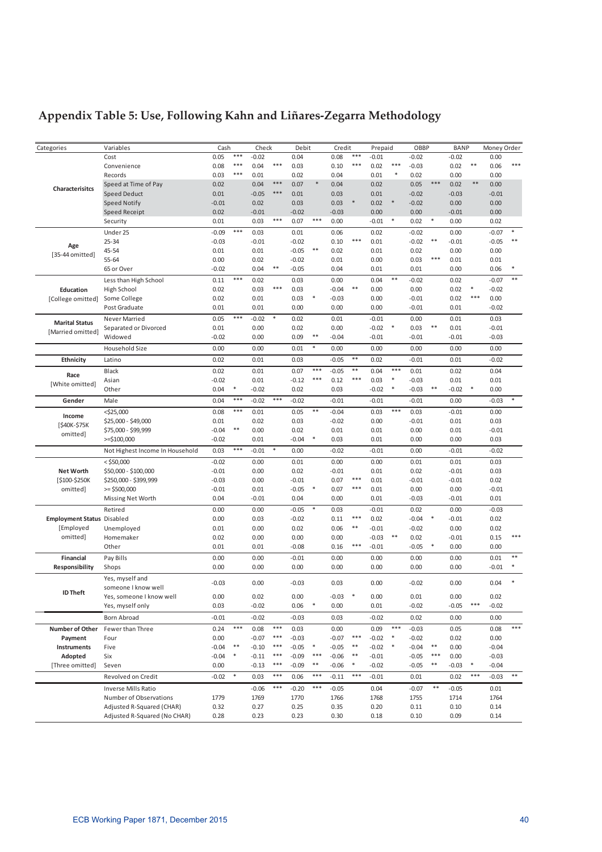# **Appendix Table 5: Use, Following Kahn and Liñares-Zegarra Methodology**

| Categories               | Variables                       | Cash            |        | Check           |        | Debit              |            | Credit       |        | Prepaid      |            | OBBP               |            | <b>BANP</b>     |        | Money Order  |            |
|--------------------------|---------------------------------|-----------------|--------|-----------------|--------|--------------------|------------|--------------|--------|--------------|------------|--------------------|------------|-----------------|--------|--------------|------------|
|                          | Cost                            | 0.05            | ***    | $-0.02$         |        | 0.04               |            | 0.08         | ***    | $-0.01$      |            | $-0.02$            |            | $-0.02$         |        | 0.00         |            |
|                          | Convenience                     | 0.08            | ***    | 0.04            | ***    | 0.03               |            | 0.10         | ***    | 0.02         | $***$      | $-0.03$            |            | 0.02            | **     | 0.06         | ***        |
|                          | Records                         | 0.03            | ***    | 0.01            |        | 0.02               |            | 0.04         |        | 0.01         | *          | 0.02               |            | 0.00            |        | 0.00         |            |
|                          | Speed at Time of Pay            | 0.02            |        | 0.04            | ***    | 0.07               | $\ast$     | 0.04         |        | 0.02         |            | 0.05               | ***        | 0.02            | $**$   | 0.00         |            |
| <b>Characteristics</b>   | <b>Speed Deduct</b>             | 0.01            |        | $-0.05$         | $***$  | 0.01               |            | 0.03         |        | 0.01         |            | $-0.02$            |            | $-0.03$         |        | $-0.01$      |            |
|                          | <b>Speed Notify</b>             | $-0.01$         |        | 0.02            |        | 0.03               |            | 0.03         |        | 0.02         | $\ast$     | $-0.02$            |            | 0.00            |        | 0.00         |            |
|                          | Speed Receipt                   | 0.02            |        | $-0.01$         |        | $-0.02$            |            | $-0.03$      |        | 0.00         |            | 0.00               |            | $-0.01$         |        | 0.00         |            |
|                          | Security                        | 0.01            |        | 0.03            | ***    | 0.07               | ***        | 0.00         |        | $-0.01$      | $\ast$     | 0.02               | $\ast$     | 0.00            |        | 0.02         |            |
|                          | Under 25                        | $-0.09$         | ***    |                 |        |                    |            |              |        |              |            |                    |            |                 |        |              |            |
|                          | 25-34                           |                 |        | 0.03<br>$-0.01$ |        | 0.01<br>$-0.02$    |            | 0.06<br>0.10 | ***    | 0.02<br>0.01 |            | $-0.02$<br>$-0.02$ | $***$      | 0.00<br>$-0.01$ |        | $-0.07$      | **         |
| Age                      |                                 | $-0.03$<br>0.01 |        |                 |        |                    | $***$      |              |        |              |            |                    |            |                 |        | $-0.05$      |            |
| [35-44 omitted]          | 45-54<br>55-64                  | 0.00            |        | 0.01<br>0.02    |        | $-0.05$<br>$-0.02$ |            | 0.02<br>0.01 |        | 0.01<br>0.00 |            | 0.02<br>0.03       | ***        | 0.00<br>0.01    |        | 0.00<br>0.01 |            |
|                          | 65 or Over                      | $-0.02$         |        | 0.04            | $***$  | $-0.05$            |            | 0.04         |        | 0.01         |            | 0.01               |            | 0.00            |        | 0.06         |            |
|                          |                                 |                 |        |                 |        |                    |            |              |        |              |            |                    |            |                 |        |              |            |
|                          | Less than High School           | 0.11            | ***    | 0.02            |        | 0.03               |            | 0.00         |        | 0.04         | $\ast\ast$ | $-0.02$            |            | 0.02            |        | $-0.07$      | $\ast\ast$ |
| <b>Education</b>         | High School                     | 0.02            |        | 0.03            | ***    | 0.03               |            | $-0.04$      | $***$  | 0.00         |            | 0.00               |            | 0.02            | *      | $-0.02$      |            |
| [College omitted]        | Some College                    | 0.02            |        | 0.01            |        | 0.03               | $\ast$     | $-0.03$      |        | 0.00         |            | $-0.01$            |            | 0.02            | ***    | 0.00         |            |
|                          | Post Graduate                   | 0.01            |        | 0.01            |        | 0.00               |            | 0.00         |        | 0.00         |            | $-0.01$            |            | 0.01            |        | $-0.02$      |            |
| <b>Marital Status</b>    | Never Married                   | 0.05            | ***    | $-0.02$         | $\ast$ | 0.02               |            | 0.01         |        | $-0.01$      |            | 0.00               |            | 0.01            |        | 0.03         |            |
| [Married omitted]        | Separated or Divorced           | 0.01            |        | 0.00            |        | 0.02               |            | 0.00         |        | $-0.02$      | $\ast$     | 0.03               | $\ast\ast$ | 0.01            |        | $-0.01$      |            |
|                          | Widowed                         | $-0.02$         |        | 0.00            |        | 0.09               | $***$      | $-0.04$      |        | $-0.01$      |            | $-0.01$            |            | $-0.01$         |        | $-0.03$      |            |
|                          | Household Size                  | 0.00            |        | 0.00            |        | 0.01               | $\ast$     | 0.00         |        | 0.00         |            | 0.00               |            | 0.00            |        | 0.00         |            |
| Ethnicity                | Latino                          | 0.02            |        | 0.01            |        | 0.03               |            | $-0.05$      | $***$  | 0.02         |            | $-0.01$            |            | 0.01            |        | $-0.02$      |            |
|                          |                                 |                 |        |                 |        |                    | ***        |              | $***$  |              | $***$      |                    |            |                 |        |              |            |
| Race                     | Black                           | 0.02            |        | 0.01            |        | 0.07               | $***$      | $-0.05$      | ***    | 0.04         | $\ast$     | 0.01               |            | 0.02            |        | 0.04         |            |
| [White omitted]          | Asian                           | $-0.02$<br>0.04 | $\ast$ | 0.01            |        | $-0.12$            |            | 0.12         |        | 0.03         | $\ast$     | $-0.03$            | $***$      | 0.01<br>$-0.02$ | $\ast$ | 0.01         |            |
|                          | Other                           |                 |        | $-0.02$         |        | 0.02               |            | 0.03         |        | $-0.02$      |            | $-0.03$            |            |                 |        | 0.00         |            |
| Gender                   | Male                            | 0.04            | ***    | $-0.02$         | ***    | $-0.02$            |            | $-0.01$      |        | $-0.01$      |            | $-0.01$            |            | 0.00            |        | $-0.03$      | $\ast$     |
| Income                   | $<$ \$25,000                    | 0.08            | ***    | 0.01            |        | 0.05               | $\ast\ast$ | $-0.04$      |        | 0.03         | ***        | 0.03               |            | $-0.01$         |        | 0.00         |            |
| [\$40K-\$75K             | \$25,000 - \$49,000             | 0.01            |        | 0.02            |        | 0.03               |            | $-0.02$      |        | 0.00         |            | $-0.01$            |            | 0.01            |        | 0.03         |            |
| omitted]                 | \$75,000 - \$99,999             | $-0.04$         | $***$  | 0.00            |        | 0.02               |            | 0.01         |        | 0.01         |            | 0.00               |            | 0.01            |        | $-0.01$      |            |
|                          | $>=$ \$100,000                  | $-0.02$         |        | 0.01            |        | $-0.04$            | $\ast$     | 0.03         |        | 0.01         |            | 0.00               |            | 0.00            |        | 0.03         |            |
|                          | Not Highest Income In Household | 0.03            | ***    | $-0.01$         |        | 0.00               |            | $-0.02$      |        | $-0.01$      |            | 0.00               |            | $-0.01$         |        | $-0.02$      |            |
|                          | $<$ \$50,000                    | $-0.02$         |        | 0.00            |        | 0.01               |            | 0.00         |        | 0.00         |            | 0.01               |            | 0.01            |        | 0.03         |            |
| <b>Net Worth</b>         | \$50,000 - \$100,000            | $-0.01$         |        | 0.00            |        | 0.02               |            | $-0.01$      |        | 0.01         |            | 0.02               |            | $-0.01$         |        | 0.03         |            |
| [\$100-\$250K            | \$250,000 - \$399,999           | $-0.03$         |        | 0.00            |        | $-0.01$            |            | 0.07         | ***    | 0.01         |            | $-0.01$            |            | $-0.01$         |        | 0.02         |            |
| omitted]                 | $>=$ \$500,000                  | $-0.01$         |        | 0.01            |        | $-0.05$            | $\ast$     | 0.07         | ***    | 0.01         |            | 0.00               |            | 0.00            |        | $-0.01$      |            |
|                          | Missing Net Worth               | 0.04            |        | $-0.01$         |        | 0.04               |            | 0.00         |        | 0.01         |            | $-0.03$            |            | $-0.01$         |        | 0.01         |            |
|                          | Retired                         | 0.00            |        | 0.00            |        | $-0.05$            | $\ast$     | 0.03         |        | $-0.01$      |            | 0.02               |            | 0.00            |        | $-0.03$      |            |
| <b>Employment Status</b> | Disabled                        | 0.00            |        | 0.03            |        | $-0.02$            |            | 0.11         | ***    | 0.02         |            | $-0.04$            | $\ast$     | $-0.01$         |        | 0.02         |            |
| [Employed                | Unemployed                      | 0.01            |        | 0.00            |        | 0.02               |            | 0.06         | $***$  | $-0.01$      |            | $-0.02$            |            | 0.00            |        | 0.02         |            |
| omitted]                 | Homemaker                       | 0.02            |        | 0.00            |        | 0.00               |            | 0.00         |        | $-0.03$      | $***$      | 0.02               |            | $-0.01$         |        | 0.15         | ***        |
|                          | Other                           | 0.01            |        | 0.01            |        | $-0.08$            |            | 0.16         | ***    | $-0.01$      |            | $-0.05$            | $\ast$     | 0.00            |        | 0.00         |            |
|                          |                                 |                 |        |                 |        |                    |            |              |        |              |            |                    |            |                 |        |              | $***$      |
| <b>Financial</b>         | Pay Bills                       | 0.00            |        | 0.00            |        | $-0.01$            |            | 0.00         |        | 0.00         |            | 0.00               |            | 0.00            |        | 0.01         |            |
| Responsibility           | Shops                           | 0.00            |        | 0.00            |        | 0.00               |            | 0.00         |        | 0.00         |            | 0.00               |            | 0.00            |        | $-0.01$      |            |
|                          | Yes, myself and                 | $-0.03$         |        | 0.00            |        | $-0.03$            |            | 0.03         |        | 0.00         |            | $-0.02$            |            | 0.00            |        | 0.04         |            |
| <b>ID Theft</b>          | someone I know well             |                 |        |                 |        |                    |            |              |        |              |            |                    |            |                 |        |              |            |
|                          | Yes, someone I know well        | 0.00            |        | 0.02            |        | 0.00               |            | $-0.03$      |        | 0.00         |            | 0.01               |            | 0.00            |        | 0.02         |            |
|                          | Yes, myself only                | 0.03            |        | $-0.02$         |        | 0.06               | $\ast$     | 0.00         |        | 0.01         |            | $-0.02$            |            | $-0.05$         | ***    | $-0.02$      |            |
|                          | Born Abroad                     | $-0.01$         |        | $-0.02$         |        | $-0.03$            |            | 0.03         |        | $-0.02$      |            | 0.02               |            | 0.00            |        | 0.00         |            |
| Number of Other          | Fewer than Three                | 0.24            | ***    | 0.08            | ***    | 0.03               |            | 0.00         |        | 0.09         | ***        | $-0.03$            |            | 0.05            |        | 0.08         | ***        |
| Payment                  | Four                            | 0.00            |        | $-0.07$         | ***    | $-0.03$            |            | $-0.07$      | ***    | $-0.02$      | $\ast$     | $-0.02$            |            | 0.02            |        | 0.00         |            |
| Instruments              | Five                            | $-0.04$         | $***$  | $-0.10$         | ***    | $-0.05$            | $\ast$     | $-0.05$      | $***$  | $-0.02$      | $\ast$     | $-0.04$            | $**$       | 0.00            |        | $-0.04$      |            |
| Adopted                  | Six                             | $-0.04$         | $\ast$ | $-0.11$         | ***    | $-0.09$            | ***        | $-0.06$      | $***$  | $-0.01$      |            | $-0.05$            | ***        | 0.00            |        | $-0.03$      |            |
| [Three omitted]          | Seven                           | 0.00            |        | $-0.13$         | ***    | $-0.09$            | $***$      | $-0.06$      | $\ast$ | $-0.02$      |            | $-0.05$            | $***$      | $-0.03$         | $\ast$ | $-0.04$      |            |
|                          | Revolved on Credit              | $-0.02$         | $\ast$ | 0.03            | ***    | 0.06               | $***$      | $-0.11$      | $***$  | $-0.01$      |            | 0.01               |            | 0.02            | $***$  | $-0.03$      | $\ast\ast$ |
|                          |                                 |                 |        |                 |        |                    |            |              |        |              |            |                    |            |                 |        |              |            |
|                          | Inverse Mills Ratio             |                 |        | $-0.06$         | $***$  | $-0.20$            | $***$      | $-0.05$      |        | 0.04         |            | $-0.07$            | $***$      | $-0.05$         |        | 0.01         |            |
|                          | Number of Observations          | 1779            |        | 1769            |        | 1770               |            | 1766         |        | 1768         |            | 1755               |            | 1714            |        | 1764         |            |
|                          | Adjusted R-Squared (CHAR)       | 0.32            |        | 0.27            |        | 0.25               |            | 0.35         |        | 0.20         |            | 0.11               |            | 0.10            |        | 0.14         |            |
|                          | Adjusted R-Squared (No CHAR)    | 0.28            |        | 0.23            |        | 0.23               |            | 0.30         |        | 0.18         |            | 0.10               |            | 0.09            |        | 0.14         |            |